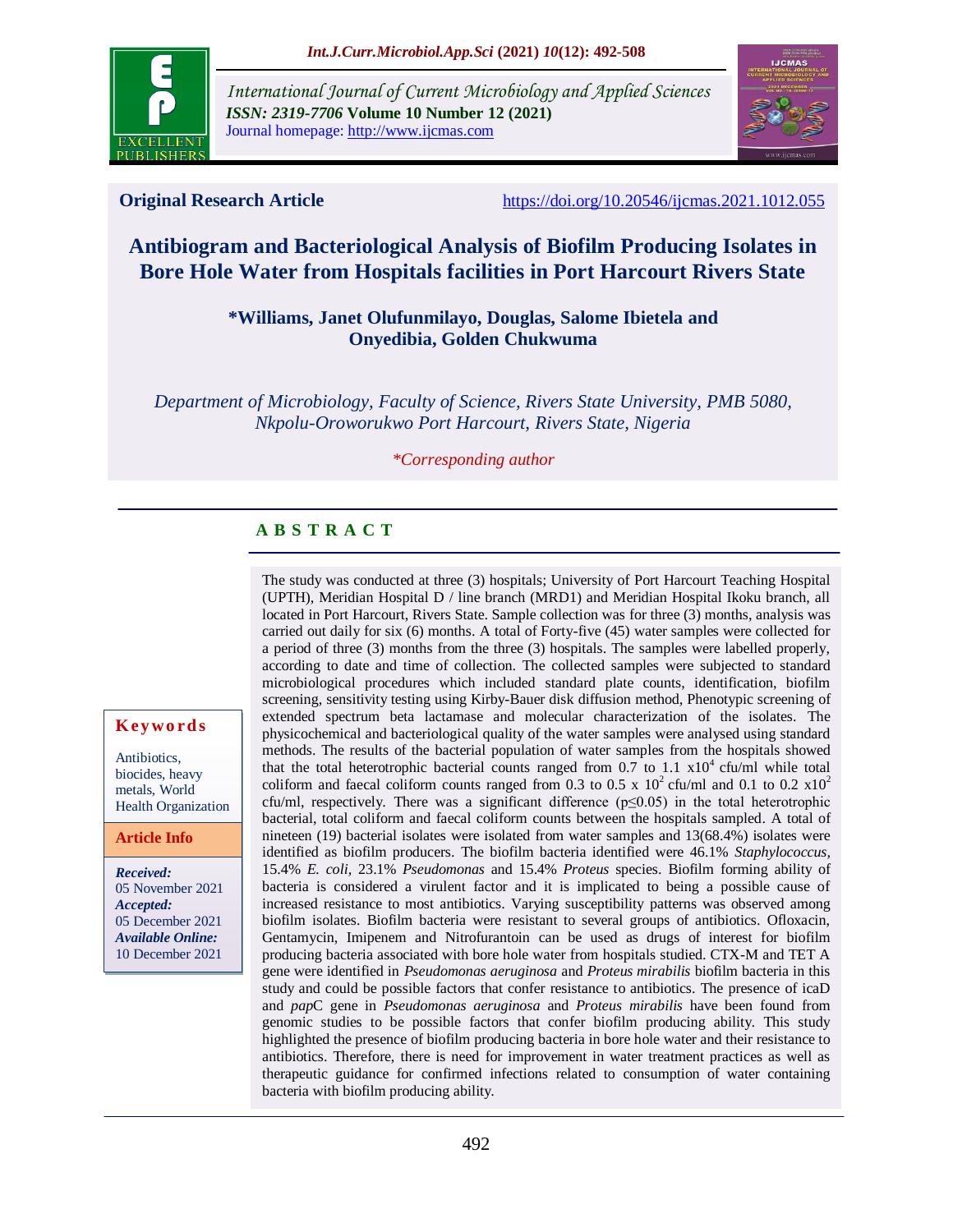

*International Journal of Current Microbiology and Applied Sciences ISSN: 2319-7706* **Volume 10 Number 12 (2021)**  Journal homepage: http://www.ijcmas.com



**Original Research Article** <https://doi.org/10.20546/ijcmas.2021.1012.055>

# **Antibiogram and Bacteriological Analysis of Biofilm Producing Isolates in Bore Hole Water from Hospitals facilities in Port Harcourt Rivers State**

### **\*Williams, Janet Olufunmilayo, Douglas, Salome Ibietela and Onyedibia, Golden Chukwuma**

*Department of Microbiology, Faculty of Science, Rivers State University, PMB 5080, Nkpolu-Oroworukwo Port Harcourt, Rivers State, Nigeria*

#### *\*Corresponding author*

# **A B S T R A C T**

The study was conducted at three (3) hospitals; University of Port Harcourt Teaching Hospital (UPTH), Meridian Hospital D / line branch (MRD1) and Meridian Hospital Ikoku branch, all located in Port Harcourt, Rivers State. Sample collection was for three (3) months, analysis was carried out daily for six (6) months. A total of Forty-five (45) water samples were collected for a period of three (3) months from the three (3) hospitals. The samples were labelled properly, according to date and time of collection. The collected samples were subjected to standard microbiological procedures which included standard plate counts, identification, biofilm screening, sensitivity testing using Kirby-Bauer disk diffusion method, Phenotypic screening of extended spectrum beta lactamase and molecular characterization of the isolates. The physicochemical and bacteriological quality of the water samples were analysed using standard methods. The results of the bacterial population of water samples from the hospitals showed that the total heterotrophic bacterial counts ranged from  $0.7$  to  $1.1 \times 10^4$  cfu/ml while total coliform and faecal coliform counts ranged from 0.3 to 0.5 x  $10^2$  cfu/ml and 0.1 to 0.2 x10<sup>2</sup> cfu/ml, respectively. There was a significant difference ( $p \le 0.05$ ) in the total heterotrophic bacterial, total coliform and faecal coliform counts between the hospitals sampled. A total of nineteen (19) bacterial isolates were isolated from water samples and 13(68.4%) isolates were identified as biofilm producers. The biofilm bacteria identified were 46.1% *Staphylococcus,* 15.4% *E. coli,* 23.1% *Pseudomonas* and 15.4% *Proteus* species. Biofilm forming ability of bacteria is considered a virulent factor and it is implicated to being a possible cause of increased resistance to most antibiotics. Varying susceptibility patterns was observed among biofilm isolates. Biofilm bacteria were resistant to several groups of antibiotics. Ofloxacin, Gentamycin, Imipenem and Nitrofurantoin can be used as drugs of interest for biofilm producing bacteria associated with bore hole water from hospitals studied. CTX-M and TET A gene were identified in *Pseudomonas aeruginosa* and *Proteus mirabilis* biofilm bacteria in this study and could be possible factors that confer resistance to antibiotics. The presence of icaD and *pap*C gene in *Pseudomonas aeruginosa* and *Proteus mirabilis* have been found from genomic studies to be possible factors that confer biofilm producing ability. This study highlighted the presence of biofilm producing bacteria in bore hole water and their resistance to antibiotics. Therefore, there is need for improvement in water treatment practices as well as therapeutic guidance for confirmed infections related to consumption of water containing bacteria with biofilm producing ability.

#### **K ey w o rd s**

Antibiotics, biocides, heavy metals, World Health Organization

#### **Article Info**

*Received:*  05 November 2021 *Accepted:*  05 December 2021 *Available Online:* 10 December 2021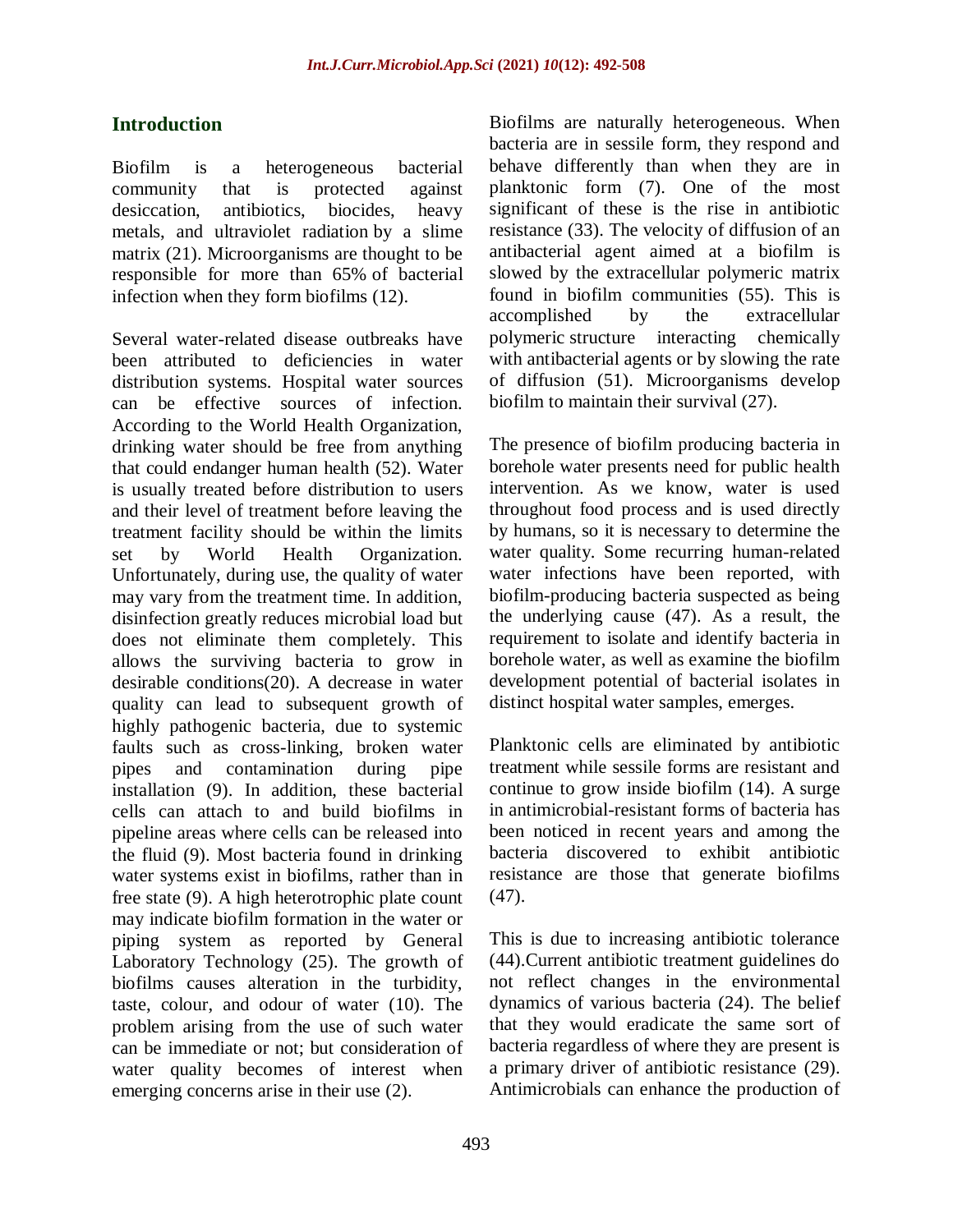# **Introduction**

Biofilm is a heterogeneous bacterial community that is protected against desiccation, antibiotics, biocides, heavy metals, and ultraviolet radiation by a slime matrix (21). Microorganisms are thought to be responsible for more than 65% of bacterial infection when they form biofilms (12).

Several water-related disease outbreaks have been attributed to deficiencies in water distribution systems. Hospital water sources can be effective sources of infection. According to the World Health Organization, drinking water should be free from anything that could endanger human health (52). Water is usually treated before distribution to users and their level of treatment before leaving the treatment facility should be within the limits set by World Health Organization. Unfortunately, during use, the quality of water may vary from the treatment time. In addition, disinfection greatly reduces microbial load but does not eliminate them completely. This allows the surviving bacteria to grow in desirable conditions(20). A decrease in water quality can lead to subsequent growth of highly pathogenic bacteria, due to systemic faults such as cross-linking, broken water pipes and contamination during pipe installation (9). In addition, these bacterial cells can attach to and build biofilms in pipeline areas where cells can be released into the fluid (9). Most bacteria found in drinking water systems exist in biofilms, rather than in free state (9). A high heterotrophic plate count may indicate biofilm formation in the water or piping system as reported by General Laboratory Technology (25). The growth of biofilms causes alteration in the turbidity, taste, colour, and odour of water (10). The problem arising from the use of such water can be immediate or not; but consideration of water quality becomes of interest when emerging concerns arise in their use (2).

Biofilms are naturally heterogeneous. When bacteria are in sessile form, they respond and behave differently than when they are in planktonic form (7). One of the most significant of these is the rise in antibiotic resistance (33). The velocity of diffusion of an antibacterial agent aimed at a biofilm is slowed by the extracellular polymeric matrix found in biofilm communities (55). This is accomplished by the extracellular polymeric structure interacting chemically with antibacterial agents or by slowing the rate of diffusion (51). Microorganisms develop biofilm to maintain their survival (27).

The presence of biofilm producing bacteria in borehole water presents need for public health intervention. As we know, water is used throughout food process and is used directly by humans, so it is necessary to determine the water quality. Some recurring human-related water infections have been reported, with biofilm-producing bacteria suspected as being the underlying cause (47). As a result, the requirement to isolate and identify bacteria in borehole water, as well as examine the biofilm development potential of bacterial isolates in distinct hospital water samples, emerges.

Planktonic cells are eliminated by antibiotic treatment while sessile forms are resistant and continue to grow inside biofilm (14). A surge in antimicrobial-resistant forms of bacteria has been noticed in recent years and among the bacteria discovered to exhibit antibiotic resistance are those that generate biofilms (47).

This is due to increasing antibiotic tolerance (44).Current antibiotic treatment guidelines do not reflect changes in the environmental dynamics of various bacteria (24). The belief that they would eradicate the same sort of bacteria regardless of where they are present is a primary driver of antibiotic resistance (29). Antimicrobials can enhance the production of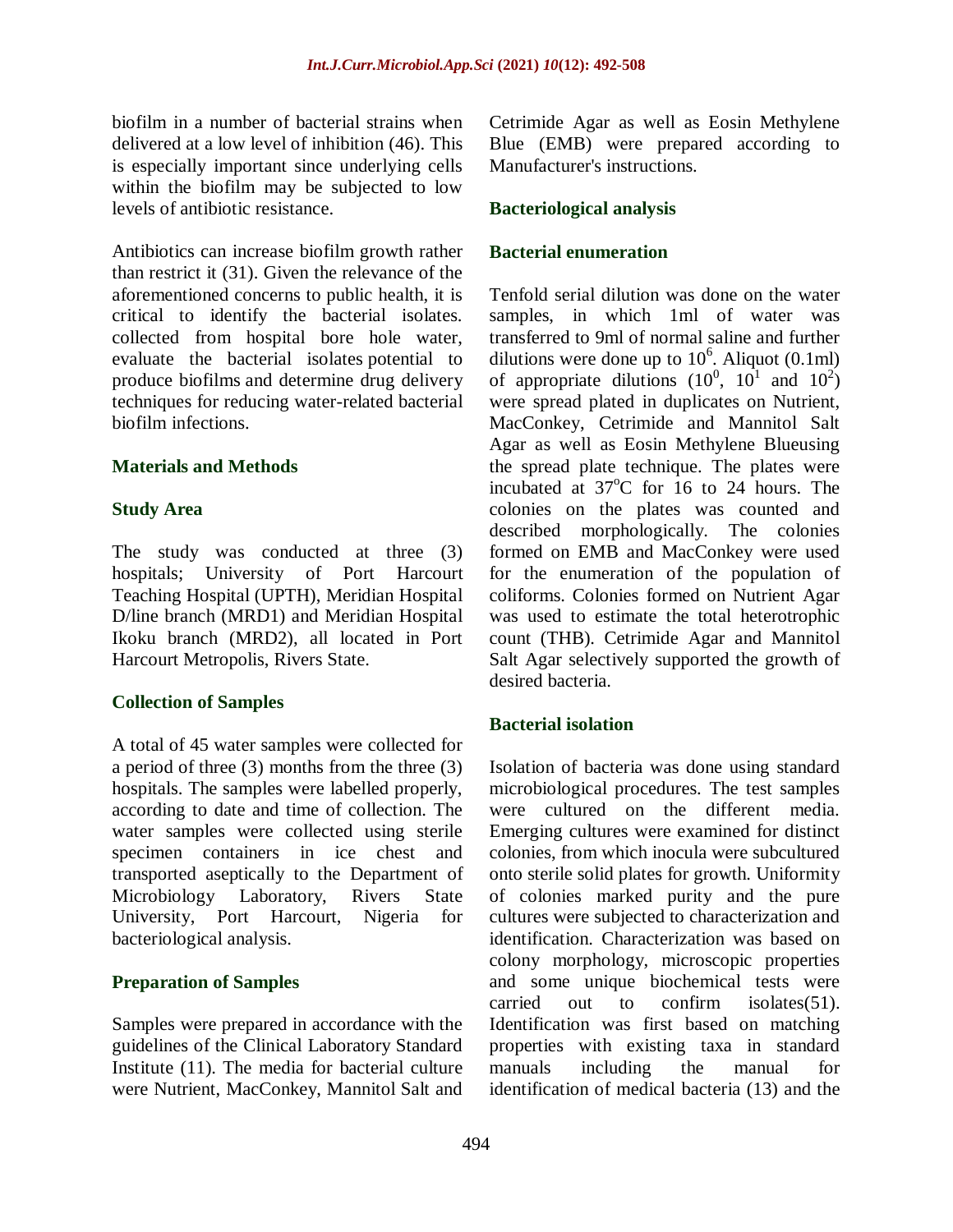biofilm in a number of bacterial strains when delivered at a low level of inhibition (46). This is especially important since underlying cells within the biofilm may be subjected to low levels of antibiotic resistance.

Antibiotics can increase biofilm growth rather than restrict it (31). Given the relevance of the aforementioned concerns to public health, it is critical to identify the bacterial isolates. collected from hospital bore hole water, evaluate the bacterial isolates potential to produce biofilms and determine drug delivery techniques for reducing water-related bacterial biofilm infections.

# **Materials and Methods**

### **Study Area**

The study was conducted at three (3) hospitals; University of Port Harcourt Teaching Hospital (UPTH), Meridian Hospital D/line branch (MRD1) and Meridian Hospital Ikoku branch (MRD2), all located in Port Harcourt Metropolis, Rivers State.

# **Collection of Samples**

A total of 45 water samples were collected for a period of three (3) months from the three (3) hospitals. The samples were labelled properly, according to date and time of collection. The water samples were collected using sterile specimen containers in ice chest and transported aseptically to the Department of Microbiology Laboratory, Rivers State University, Port Harcourt, Nigeria for bacteriological analysis.

# **Preparation of Samples**

Samples were prepared in accordance with the guidelines of the Clinical Laboratory Standard Institute (11). The media for bacterial culture were Nutrient, MacConkey, Mannitol Salt and

Cetrimide Agar as well as Eosin Methylene Blue (EMB) were prepared according to Manufacturer's instructions.

### **Bacteriological analysis**

### **Bacterial enumeration**

Tenfold serial dilution was done on the water samples, in which 1ml of water was transferred to 9ml of normal saline and further dilutions were done up to  $10^6$ . Aliquot (0.1ml) of appropriate dilutions  $(10^0, 10^1$  and  $10^2)$ were spread plated in duplicates on Nutrient, MacConkey, Cetrimide and Mannitol Salt Agar as well as Eosin Methylene Blueusing the spread plate technique. The plates were incubated at  $37^{\circ}$ C for 16 to 24 hours. The colonies on the plates was counted and described morphologically. The colonies formed on EMB and MacConkey were used for the enumeration of the population of coliforms. Colonies formed on Nutrient Agar was used to estimate the total heterotrophic count (THB). Cetrimide Agar and Mannitol Salt Agar selectively supported the growth of desired bacteria.

# **Bacterial isolation**

Isolation of bacteria was done using standard microbiological procedures. The test samples were cultured on the different media. Emerging cultures were examined for distinct colonies, from which inocula were subcultured onto sterile solid plates for growth. Uniformity of colonies marked purity and the pure cultures were subjected to characterization and identification. Characterization was based on colony morphology, microscopic properties and some unique biochemical tests were carried out to confirm isolates(51). Identification was first based on matching properties with existing taxa in standard manuals including the manual for identification of medical bacteria (13) and the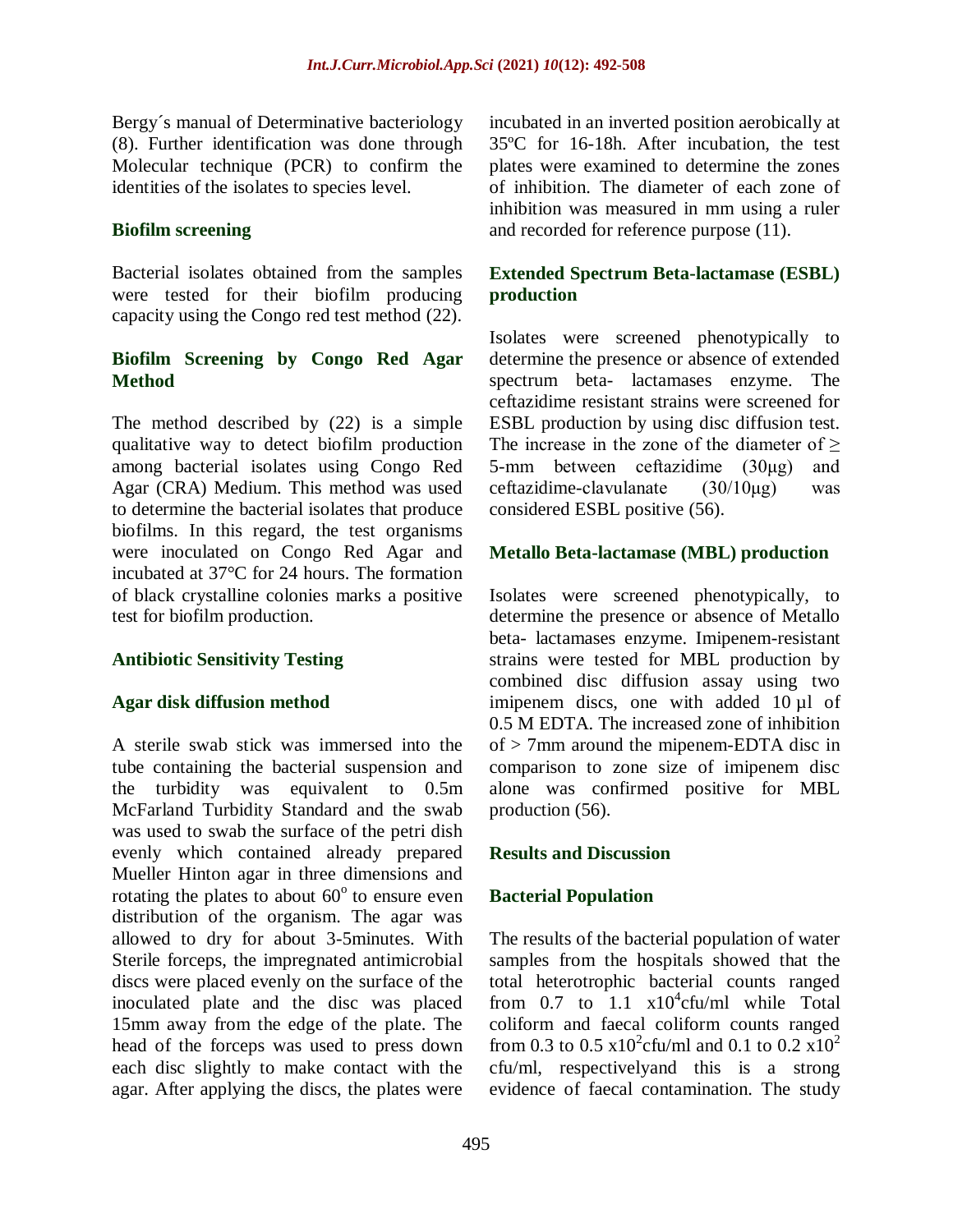Bergy´s manual of Determinative bacteriology (8). Further identification was done through Molecular technique (PCR) to confirm the identities of the isolates to species level.

#### **Biofilm screening**

Bacterial isolates obtained from the samples were tested for their biofilm producing capacity using the Congo red test method (22).

# **Biofilm Screening by Congo Red Agar Method**

The method described by (22) is a simple qualitative way to detect biofilm production among bacterial isolates using Congo Red Agar (CRA) Medium. This method was used to determine the bacterial isolates that produce biofilms. In this regard, the test organisms were inoculated on Congo Red Agar and incubated at 37°C for 24 hours. The formation of black crystalline colonies marks a positive test for biofilm production.

#### **Antibiotic Sensitivity Testing**

#### **Agar disk diffusion method**

A sterile swab stick was immersed into the tube containing the bacterial suspension and the turbidity was equivalent to 0.5m McFarland Turbidity Standard and the swab was used to swab the surface of the petri dish evenly which contained already prepared Mueller Hinton agar in three dimensions and rotating the plates to about  $60^{\circ}$  to ensure even distribution of the organism. The agar was allowed to dry for about 3-5minutes. With Sterile forceps, the impregnated antimicrobial discs were placed evenly on the surface of the inoculated plate and the disc was placed 15mm away from the edge of the plate. The head of the forceps was used to press down each disc slightly to make contact with the agar. After applying the discs, the plates were

incubated in an inverted position aerobically at 35ºC for 16-18h. After incubation, the test plates were examined to determine the zones of inhibition. The diameter of each zone of inhibition was measured in mm using a ruler and recorded for reference purpose (11).

# **Extended Spectrum Beta-lactamase (ESBL) production**

Isolates were screened phenotypically to determine the presence or absence of extended spectrum beta- lactamases enzyme. The ceftazidime resistant strains were screened for ESBL production by using disc diffusion test. The increase in the zone of the diameter of  $\geq$ 5-mm between ceftazidime (30μg) and ceftazidime-clavulanate  $(30/10\mu g)$  was considered ESBL positive (56).

#### **Metallo Beta-lactamase (MBL) production**

Isolates were screened phenotypically, to determine the presence or absence of Metallo beta- lactamases enzyme. Imipenem-resistant strains were tested for MBL production by combined disc diffusion assay using two imipenem discs, one with added 10 µl of 0.5 M EDTA. The increased zone of inhibition of > 7mm around the mipenem-EDTA disc in comparison to zone size of imipenem disc alone was confirmed positive for MBL production (56).

#### **Results and Discussion**

# **Bacterial Population**

The results of the bacterial population of water samples from the hospitals showed that the total heterotrophic bacterial counts ranged from 0.7 to  $1.1 \times 10^4$ cfu/ml while Total coliform and faecal coliform counts ranged from 0.3 to 0.5  $x10^2$ cfu/ml and 0.1 to 0.2  $x10^2$ cfu/ml, respectivelyand this is a strong evidence of faecal contamination. The study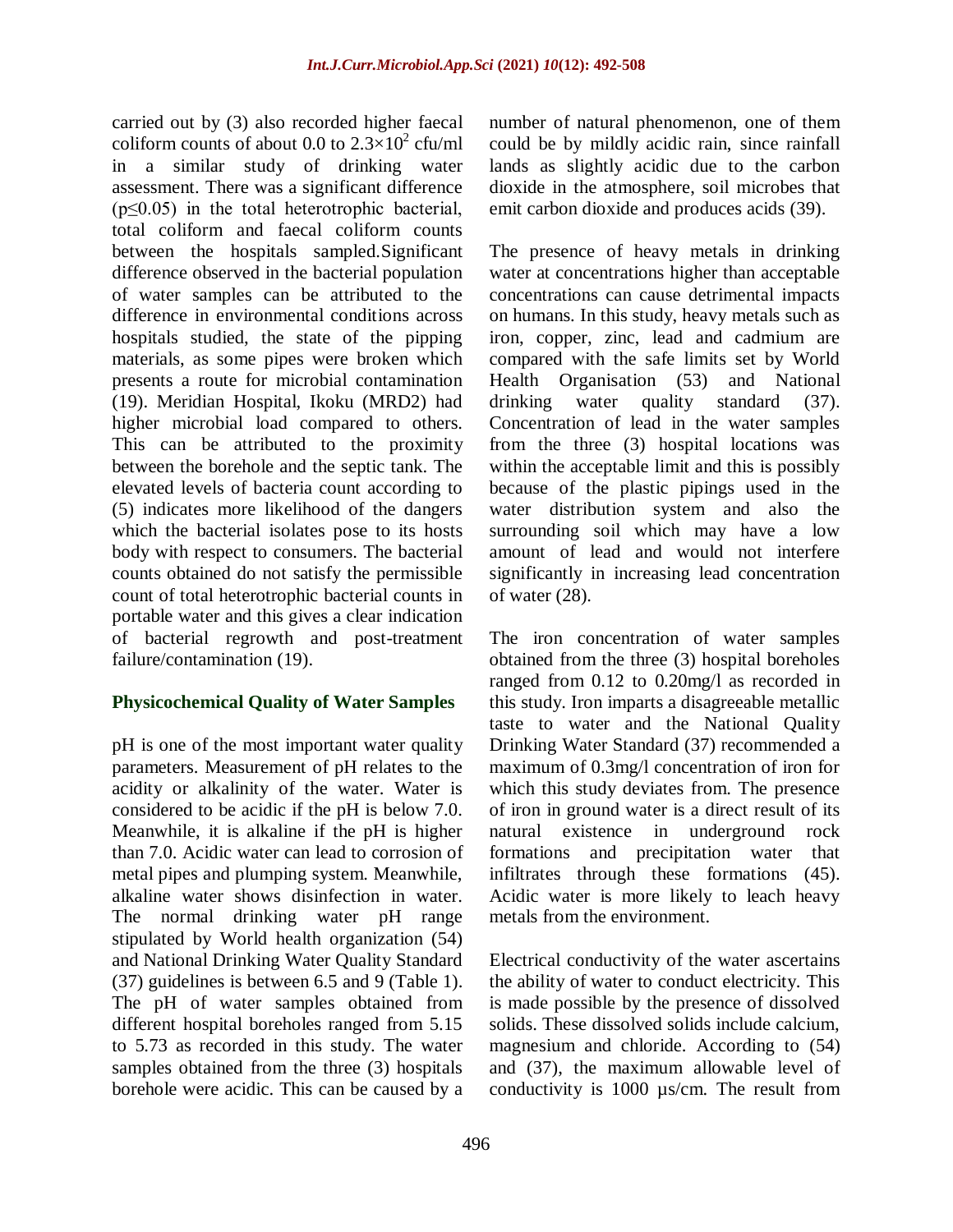carried out by (3) also recorded higher faecal coliform counts of about 0.0 to  $2.3 \times 10^2$  cfu/ml in a similar study of drinking water assessment. There was a significant difference  $(p \le 0.05)$  in the total heterotrophic bacterial, total coliform and faecal coliform counts between the hospitals sampled.Significant difference observed in the bacterial population of water samples can be attributed to the difference in environmental conditions across hospitals studied, the state of the pipping materials, as some pipes were broken which presents a route for microbial contamination (19). Meridian Hospital, Ikoku (MRD2) had higher microbial load compared to others. This can be attributed to the proximity between the borehole and the septic tank. The elevated levels of bacteria count according to (5) indicates more likelihood of the dangers which the bacterial isolates pose to its hosts body with respect to consumers. The bacterial counts obtained do not satisfy the permissible count of total heterotrophic bacterial counts in portable water and this gives a clear indication of bacterial regrowth and post-treatment failure/contamination (19).

# **Physicochemical Quality of Water Samples**

pH is one of the most important water quality parameters. Measurement of pH relates to the acidity or alkalinity of the water. Water is considered to be acidic if the pH is below 7.0. Meanwhile, it is alkaline if the pH is higher than 7.0. Acidic water can lead to corrosion of metal pipes and plumping system. Meanwhile, alkaline water shows disinfection in water. The normal drinking water pH range stipulated by World health organization (54) and National Drinking Water Quality Standard (37) guidelines is between 6.5 and 9 (Table 1). The pH of water samples obtained from different hospital boreholes ranged from 5.15 to 5.73 as recorded in this study. The water samples obtained from the three (3) hospitals borehole were acidic. This can be caused by a

number of natural phenomenon, one of them could be by mildly acidic rain, since rainfall lands as slightly acidic due to the carbon dioxide in the atmosphere, soil microbes that emit carbon dioxide and produces acids (39).

The presence of heavy metals in drinking water at concentrations higher than acceptable concentrations can cause detrimental impacts on humans. In this study, heavy metals such as iron, copper, zinc, lead and cadmium are compared with the safe limits set by World Health Organisation (53) and National drinking water quality standard (37). Concentration of lead in the water samples from the three (3) hospital locations was within the acceptable limit and this is possibly because of the plastic pipings used in the water distribution system and also the surrounding soil which may have a low amount of lead and would not interfere significantly in increasing lead concentration of water (28).

The iron concentration of water samples obtained from the three (3) hospital boreholes ranged from 0.12 to 0.20mg/l as recorded in this study. Iron imparts a disagreeable metallic taste to water and the National Quality Drinking Water Standard (37) recommended a maximum of 0.3mg/l concentration of iron for which this study deviates from. The presence of iron in ground water is a direct result of its natural existence in underground rock formations and precipitation water that infiltrates through these formations (45). Acidic water is more likely to leach heavy metals from the environment.

Electrical conductivity of the water ascertains the ability of water to conduct electricity. This is made possible by the presence of dissolved solids. These dissolved solids include calcium, magnesium and chloride. According to (54) and (37), the maximum allowable level of conductivity is 1000 µs/cm. The result from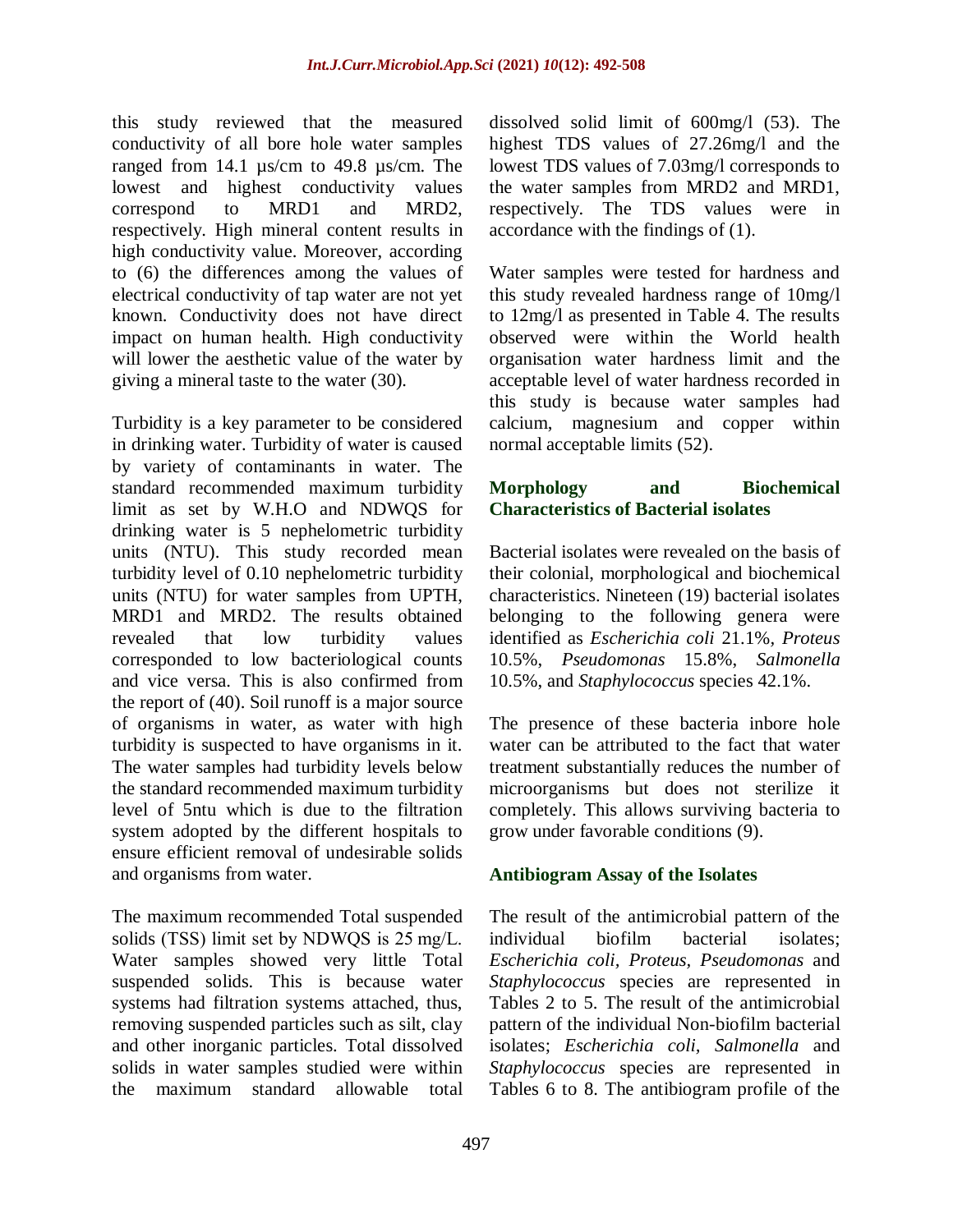this study reviewed that the measured conductivity of all bore hole water samples ranged from 14.1 µs/cm to 49.8 µs/cm. The lowest and highest conductivity values correspond to MRD1 and MRD2, respectively. High mineral content results in high conductivity value. Moreover, according to (6) the differences among the values of electrical conductivity of tap water are not yet known. Conductivity does not have direct impact on human health. High conductivity will lower the aesthetic value of the water by giving a mineral taste to the water (30).

Turbidity is a key parameter to be considered in drinking water. Turbidity of water is caused by variety of contaminants in water. The standard recommended maximum turbidity limit as set by W.H.O and NDWQS for drinking water is 5 nephelometric turbidity units (NTU). This study recorded mean turbidity level of 0.10 nephelometric turbidity units (NTU) for water samples from UPTH, MRD1 and MRD2. The results obtained revealed that low turbidity values corresponded to low bacteriological counts and vice versa. This is also confirmed from the report of (40). Soil runoff is a major source of organisms in water, as water with high turbidity is suspected to have organisms in it. The water samples had turbidity levels below the standard recommended maximum turbidity level of 5ntu which is due to the filtration system adopted by the different hospitals to ensure efficient removal of undesirable solids and organisms from water.

The maximum recommended Total suspended solids (TSS) limit set by NDWQS is 25 mg/L. Water samples showed very little Total suspended solids. This is because water systems had filtration systems attached, thus, removing suspended particles such as silt, clay and other inorganic particles. Total dissolved solids in water samples studied were within the maximum standard allowable total dissolved solid limit of 600mg/l (53). The highest TDS values of 27.26mg/l and the lowest TDS values of 7.03mg/l corresponds to the water samples from MRD2 and MRD1, respectively. The TDS values were in accordance with the findings of (1).

Water samples were tested for hardness and this study revealed hardness range of 10mg/l to 12mg/l as presented in Table 4. The results observed were within the World health organisation water hardness limit and the acceptable level of water hardness recorded in this study is because water samples had calcium, magnesium and copper within normal acceptable limits (52).

# **Morphology and Biochemical Characteristics of Bacterial isolates**

Bacterial isolates were revealed on the basis of their colonial, morphological and biochemical characteristics. Nineteen (19) bacterial isolates belonging to the following genera were identified as *Escherichia coli* 21.1%*, Proteus*  10.5%, *Pseudomonas* 15.8%, *Salmonella*  10.5%, and *Staphylococcus* species 42.1%.

The presence of these bacteria inbore hole water can be attributed to the fact that water treatment substantially reduces the number of microorganisms but does not sterilize it completely. This allows surviving bacteria to grow under favorable conditions (9).

# **Antibiogram Assay of the Isolates**

The result of the antimicrobial pattern of the individual biofilm bacterial isolates; *Escherichia coli, Proteus, Pseudomonas* and *Staphylococcus* species are represented in Tables 2 to 5. The result of the antimicrobial pattern of the individual Non-biofilm bacterial isolates; *Escherichia coli, Salmonella* and *Staphylococcus* species are represented in Tables 6 to 8. The antibiogram profile of the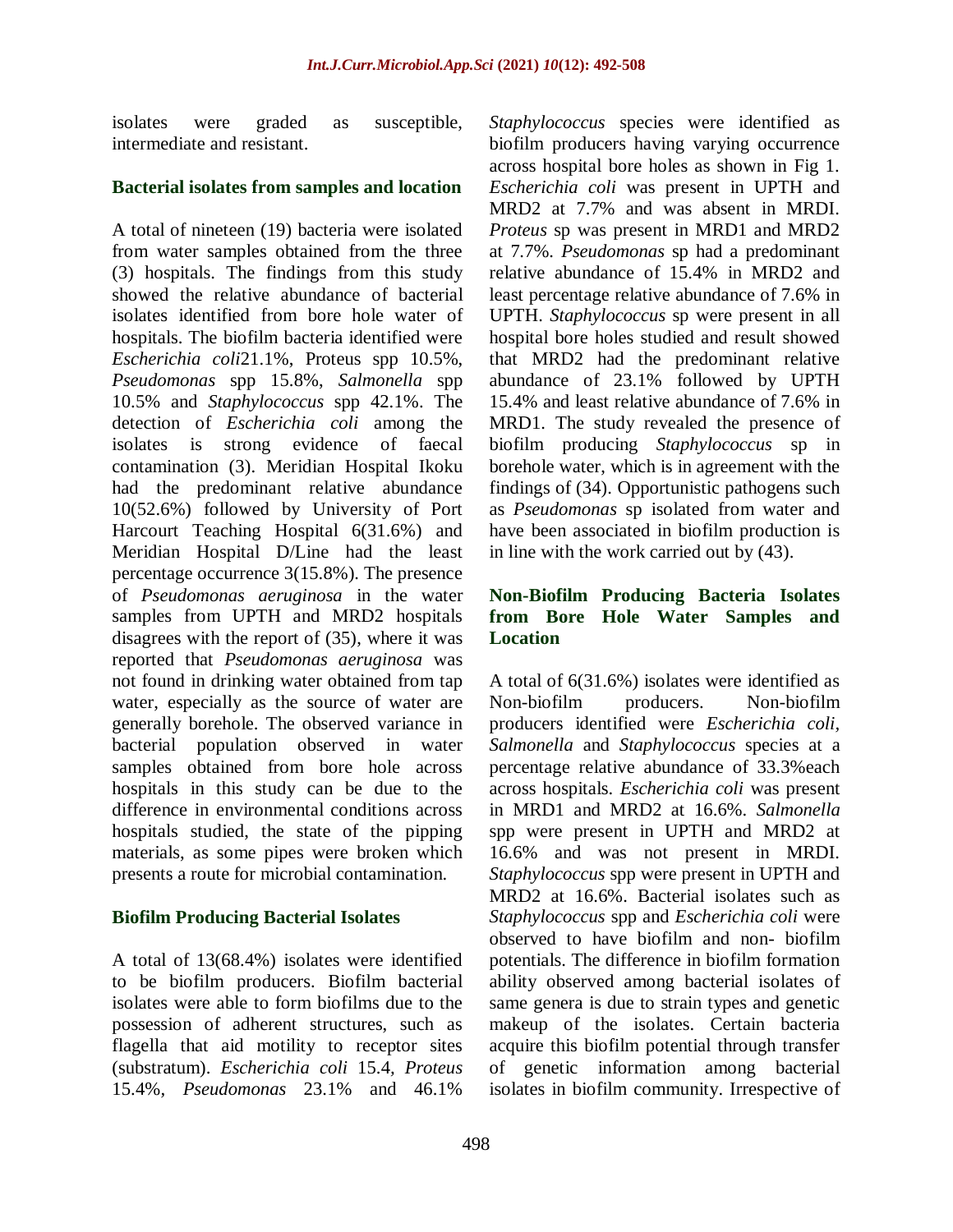isolates were graded as susceptible, intermediate and resistant.

### **Bacterial isolates from samples and location**

A total of nineteen (19) bacteria were isolated from water samples obtained from the three (3) hospitals. The findings from this study showed the relative abundance of bacterial isolates identified from bore hole water of hospitals. The biofilm bacteria identified were *Escherichia coli*21.1%, Proteus spp 10.5%, *Pseudomonas* spp 15.8%, *Salmonella* spp 10.5% and *Staphylococcus* spp 42.1%. The detection of *Escherichia coli* among the isolates is strong evidence of faecal contamination (3). Meridian Hospital Ikoku had the predominant relative abundance 10(52.6%) followed by University of Port Harcourt Teaching Hospital 6(31.6%) and Meridian Hospital D/Line had the least percentage occurrence 3(15.8%). The presence of *Pseudomonas aeruginosa* in the water samples from UPTH and MRD2 hospitals disagrees with the report of (35), where it was reported that *Pseudomonas aeruginosa* was not found in drinking water obtained from tap water, especially as the source of water are generally borehole. The observed variance in bacterial population observed in water samples obtained from bore hole across hospitals in this study can be due to the difference in environmental conditions across hospitals studied, the state of the pipping materials, as some pipes were broken which presents a route for microbial contamination.

# **Biofilm Producing Bacterial Isolates**

A total of 13(68.4%) isolates were identified to be biofilm producers. Biofilm bacterial isolates were able to form biofilms due to the possession of adherent structures, such as flagella that aid motility to receptor sites (substratum). *Escherichia coli* 15.4*, Proteus* 15.4%*, Pseudomonas* 23.1% and 46.1%

*Staphylococcus* species were identified as biofilm producers having varying occurrence across hospital bore holes as shown in Fig 1. *Escherichia coli* was present in UPTH and MRD2 at 7.7% and was absent in MRDI. *Proteus* sp was present in MRD1 and MRD2 at 7.7%. *Pseudomonas* sp had a predominant relative abundance of 15.4% in MRD2 and least percentage relative abundance of 7.6% in UPTH. *Staphylococcus* sp were present in all hospital bore holes studied and result showed that MRD2 had the predominant relative abundance of 23.1% followed by UPTH 15.4% and least relative abundance of 7.6% in MRD1. The study revealed the presence of biofilm producing *Staphylococcus* sp in borehole water, which is in agreement with the findings of (34). Opportunistic pathogens such as *Pseudomonas* sp isolated from water and have been associated in biofilm production is in line with the work carried out by (43).

# **Non-Biofilm Producing Bacteria Isolates from Bore Hole Water Samples and Location**

A total of 6(31.6%) isolates were identified as Non-biofilm producers. Non-biofilm producers identified were *Escherichia coli, Salmonella* and *Staphylococcus* species at a percentage relative abundance of 33.3%each across hospitals. *Escherichia coli* was present in MRD1 and MRD2 at 16.6%. *Salmonella* spp were present in UPTH and MRD2 at 16.6% and was not present in MRDI. *Staphylococcus* spp were present in UPTH and MRD2 at 16.6%. Bacterial isolates such as *Staphylococcus* spp and *Escherichia coli* were observed to have biofilm and non- biofilm potentials. The difference in biofilm formation ability observed among bacterial isolates of same genera is due to strain types and genetic makeup of the isolates. Certain bacteria acquire this biofilm potential through transfer of genetic information among bacterial isolates in biofilm community. Irrespective of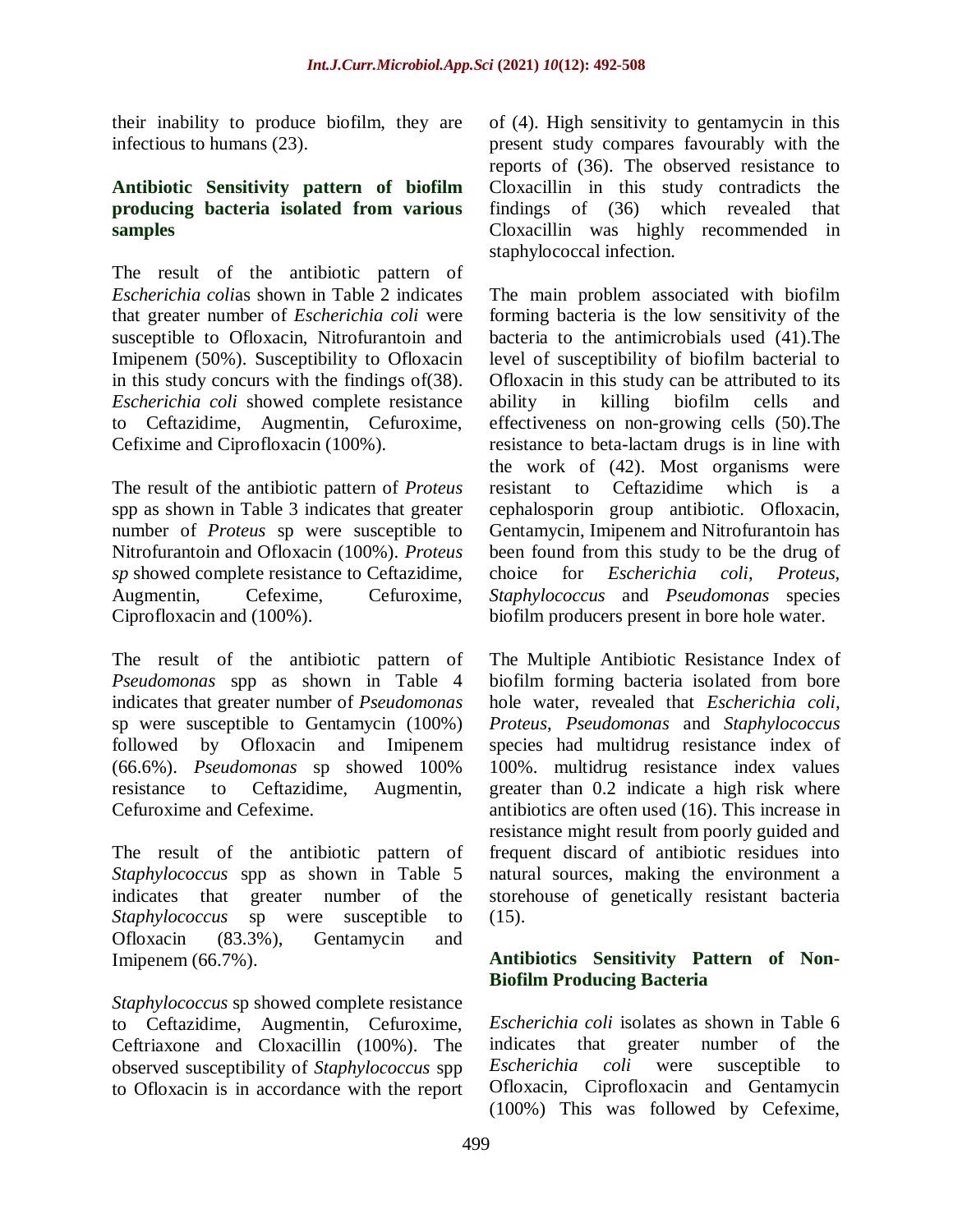their inability to produce biofilm, they are infectious to humans (23).

## **Antibiotic Sensitivity pattern of biofilm producing bacteria isolated from various samples**

The result of the antibiotic pattern of *Escherichia coli*as shown in Table 2 indicates that greater number of *Escherichia coli* were susceptible to Ofloxacin, Nitrofurantoin and Imipenem (50%). Susceptibility to Ofloxacin in this study concurs with the findings of(38). *Escherichia coli* showed complete resistance to Ceftazidime, Augmentin, Cefuroxime, Cefixime and Ciprofloxacin (100%).

The result of the antibiotic pattern of *Proteus*  spp as shown in Table 3 indicates that greater number of *Proteus* sp were susceptible to Nitrofurantoin and Ofloxacin (100%). *Proteus sp* showed complete resistance to Ceftazidime, Augmentin, Cefexime, Cefuroxime, Ciprofloxacin and (100%).

The result of the antibiotic pattern of *Pseudomonas* spp as shown in Table 4 indicates that greater number of *Pseudomonas*  sp were susceptible to Gentamycin (100%) followed by Ofloxacin and Imipenem (66.6%). *Pseudomonas* sp showed 100% resistance to Ceftazidime, Augmentin, Cefuroxime and Cefexime.

The result of the antibiotic pattern of *Staphylococcus* spp as shown in Table 5 indicates that greater number of the *Staphylococcus* sp were susceptible to Ofloxacin (83.3%), Gentamycin and Imipenem (66.7%).

*Staphylococcus* sp showed complete resistance to Ceftazidime, Augmentin, Cefuroxime, Ceftriaxone and Cloxacillin (100%). The observed susceptibility of *Staphylococcus* spp to Ofloxacin is in accordance with the report of (4). High sensitivity to gentamycin in this present study compares favourably with the reports of (36). The observed resistance to Cloxacillin in this study contradicts the findings of (36) which revealed that Cloxacillin was highly recommended in staphylococcal infection.

The main problem associated with biofilm forming bacteria is the low sensitivity of the bacteria to the antimicrobials used (41).The level of susceptibility of biofilm bacterial to Ofloxacin in this study can be attributed to its ability in killing biofilm cells and effectiveness on non-growing cells (50).The resistance to beta-lactam drugs is in line with the work of (42). Most organisms were resistant to Ceftazidime which is a cephalosporin group antibiotic. Ofloxacin, Gentamycin, Imipenem and Nitrofurantoin has been found from this study to be the drug of choice for *Escherichia coli*, *Proteus*, *Staphylococcus* and *Pseudomonas* species biofilm producers present in bore hole water.

The Multiple Antibiotic Resistance Index of biofilm forming bacteria isolated from bore hole water, revealed that *Escherichia coli, Proteus*, *Pseudomonas* and *Staphylococcus*  species had multidrug resistance index of 100%. multidrug resistance index values greater than 0.2 indicate a high risk where antibiotics are often used (16). This increase in resistance might result from poorly guided and frequent discard of antibiotic residues into natural sources, making the environment a storehouse of genetically resistant bacteria (15).

# **Antibiotics Sensitivity Pattern of Non-Biofilm Producing Bacteria**

*Escherichia coli* isolates as shown in Table 6 indicates that greater number of the *Escherichia coli* were susceptible to Ofloxacin, Ciprofloxacin and Gentamycin (100%) This was followed by Cefexime,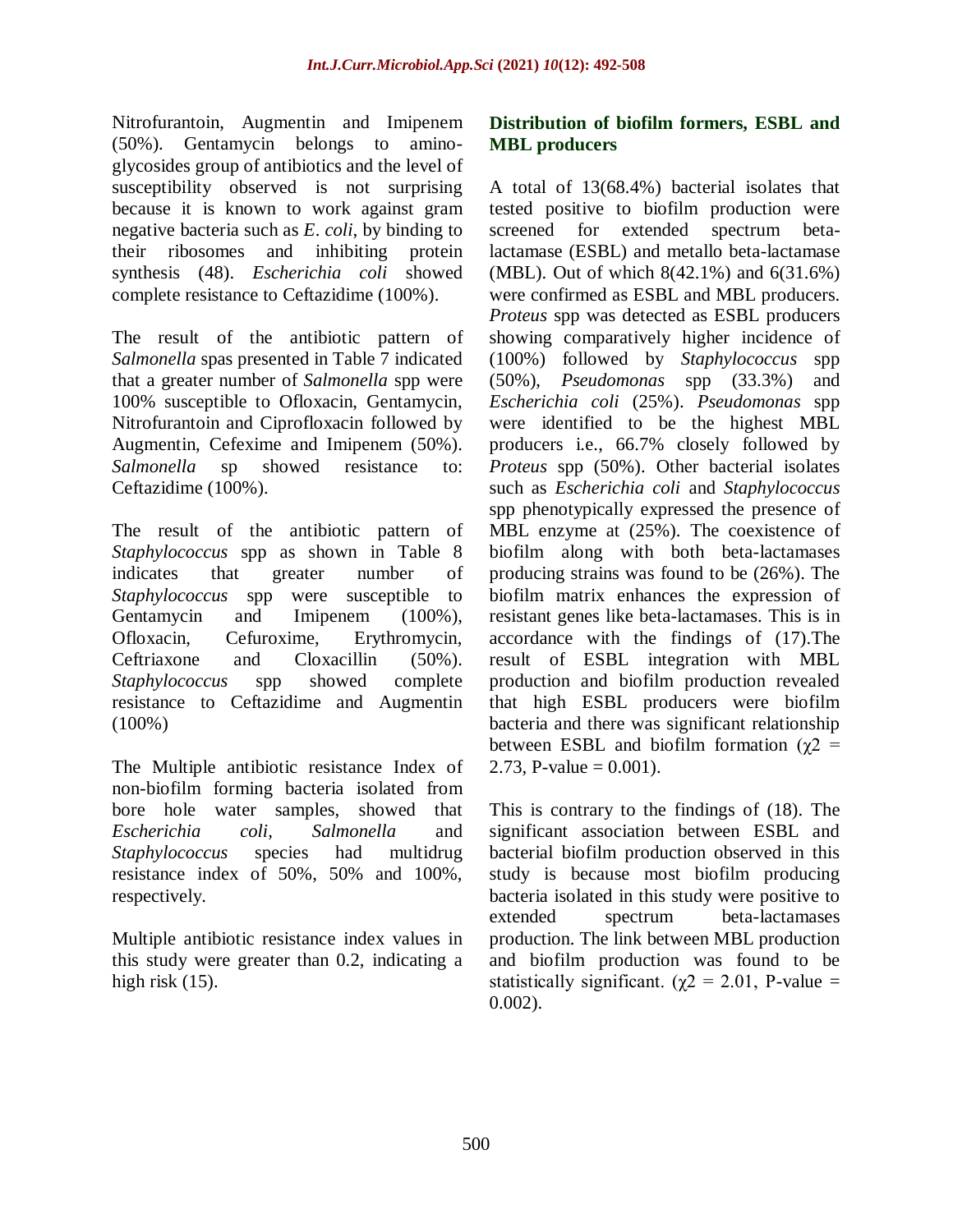Nitrofurantoin, Augmentin and Imipenem (50%). Gentamycin belongs to aminoglycosides group of antibiotics and the level of susceptibility observed is not surprising because it is known to work against gram negative bacteria such as *E*. *coli*, by binding to their ribosomes and inhibiting protein synthesis (48). *Escherichia coli* showed complete resistance to Ceftazidime (100%).

The result of the antibiotic pattern of *Salmonella* spas presented in Table 7 indicated that a greater number of *Salmonella* spp were 100% susceptible to Ofloxacin, Gentamycin, Nitrofurantoin and Ciprofloxacin followed by Augmentin, Cefexime and Imipenem (50%). *Salmonella* sp showed resistance to: Ceftazidime (100%).

The result of the antibiotic pattern of *Staphylococcus* spp as shown in Table 8 indicates that greater number of *Staphylococcus* spp were susceptible to Gentamycin and Imipenem (100%), Ofloxacin, Cefuroxime, Erythromycin, Ceftriaxone and Cloxacillin (50%). *Staphylococcus* spp showed complete resistance to Ceftazidime and Augmentin (100%)

The Multiple antibiotic resistance Index of non-biofilm forming bacteria isolated from bore hole water samples, showed that *Escherichia coli, Salmonella* and *Staphylococcus* species had multidrug resistance index of 50%, 50% and 100%, respectively.

Multiple antibiotic resistance index values in this study were greater than 0.2, indicating a high risk  $(15)$ .

## **Distribution of biofilm formers, ESBL and MBL producers**

A total of 13(68.4%) bacterial isolates that tested positive to biofilm production were screened for extended spectrum betalactamase (ESBL) and metallo beta-lactamase (MBL). Out of which 8(42.1%) and 6(31.6%) were confirmed as ESBL and MBL producers. *Proteus* spp was detected as ESBL producers showing comparatively higher incidence of (100%) followed by *Staphylococcus* spp (50%), *Pseudomonas* spp (33.3%) and *Escherichia coli* (25%). *Pseudomonas* spp were identified to be the highest MBL producers i.e., 66.7% closely followed by *Proteus* spp (50%). Other bacterial isolates such as *Escherichia coli* and *Staphylococcus*  spp phenotypically expressed the presence of MBL enzyme at (25%). The coexistence of biofilm along with both beta-lactamases producing strains was found to be (26%). The biofilm matrix enhances the expression of resistant genes like beta-lactamases. This is in accordance with the findings of (17).The result of ESBL integration with MBL production and biofilm production revealed that high ESBL producers were biofilm bacteria and there was significant relationship between ESBL and biofilm formation ( $\gamma$ 2 = 2.73, P-value =  $0.001$ ).

This is contrary to the findings of (18). The significant association between ESBL and bacterial biofilm production observed in this study is because most biofilm producing bacteria isolated in this study were positive to extended spectrum beta-lactamases production. The link between MBL production and biofilm production was found to be statistically significant. ( $\chi$ 2 = 2.01, P-value = 0.002).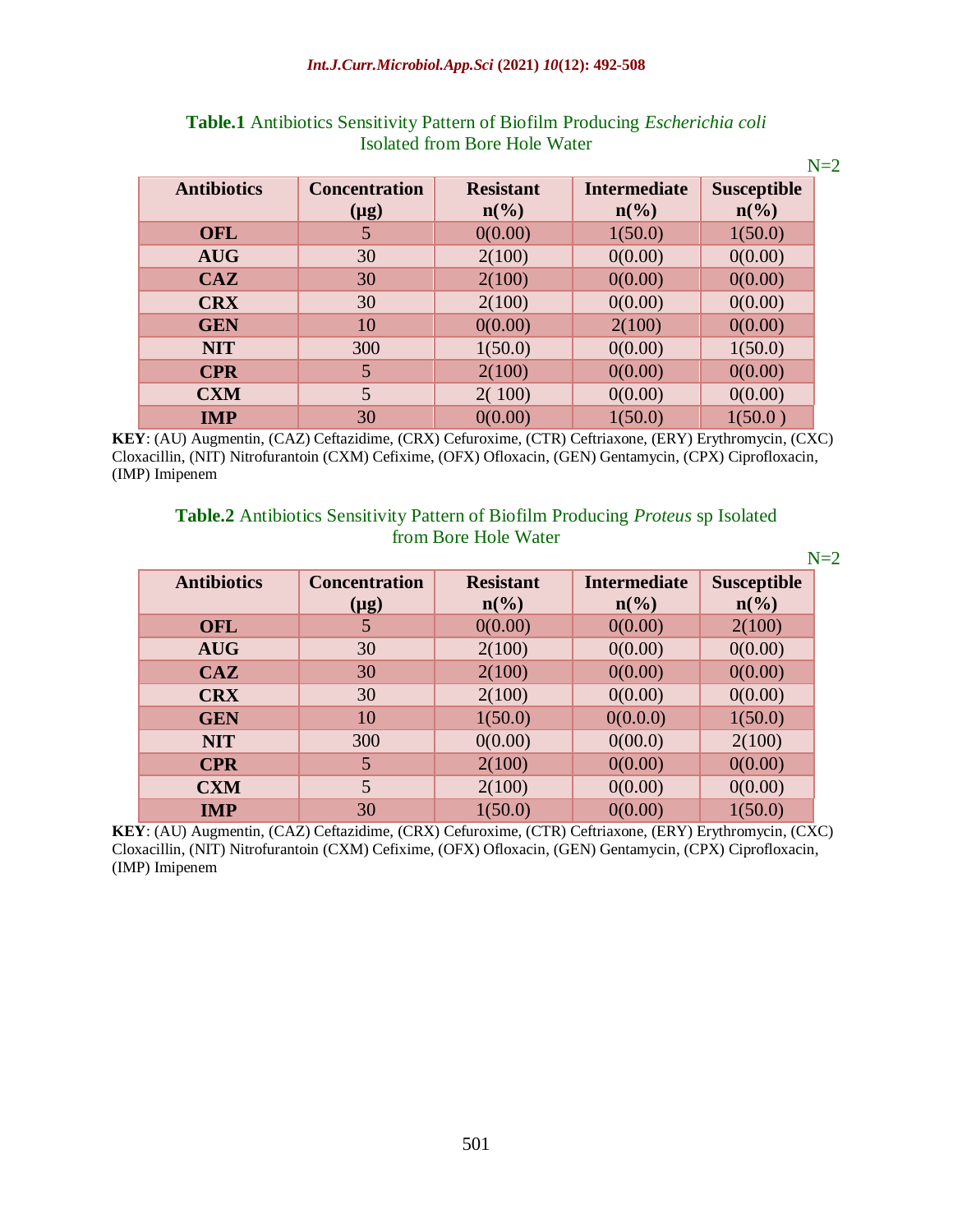#### *Int.J.Curr.Microbiol.App.Sci* **(2021)** *10***(12): 492-508**

|                    |                                   |                                                 |                                                    | $N=2$                                             |
|--------------------|-----------------------------------|-------------------------------------------------|----------------------------------------------------|---------------------------------------------------|
| <b>Antibiotics</b> | <b>Concentration</b><br>$(\mu g)$ | <b>Resistant</b><br>$n\left(\frac{6}{6}\right)$ | <b>Intermediate</b><br>$n\left(\frac{6}{6}\right)$ | <b>Susceptible</b><br>$n\left(\frac{0}{0}\right)$ |
| <b>OFL</b>         | 5                                 | 0(0.00)                                         | 1(50.0)                                            | 1(50.0)                                           |
| <b>AUG</b>         | 30                                | 2(100)                                          | 0(0.00)                                            | 0(0.00)                                           |
| CAZ                | 30                                | 2(100)                                          | 0(0.00)                                            | 0(0.00)                                           |
| <b>CRX</b>         | 30                                | 2(100)                                          | 0(0.00)                                            | 0(0.00)                                           |
| <b>GEN</b>         | 10                                | 0(0.00)                                         | 2(100)                                             | 0(0.00)                                           |
| <b>NIT</b>         | 300                               | 1(50.0)                                         | 0(0.00)                                            | 1(50.0)                                           |
| <b>CPR</b>         | 5                                 | 2(100)                                          | 0(0.00)                                            | 0(0.00)                                           |
| <b>CXM</b>         | 5                                 | 2(100)                                          | 0(0.00)                                            | 0(0.00)                                           |
| <b>IMP</b>         | 30                                | 0(0.00)                                         | 1(50.0)                                            | 1(50.0)                                           |

## **Table.1** Antibiotics Sensitivity Pattern of Biofilm Producing *Escherichia coli*  Isolated from Bore Hole Water

**KEY**: (AU) Augmentin, (CAZ) Ceftazidime, (CRX) Cefuroxime, (CTR) Ceftriaxone, (ERY) Erythromycin, (CXC) Cloxacillin, (NIT) Nitrofurantoin (CXM) Cefixime, (OFX) Ofloxacin, (GEN) Gentamycin, (CPX) Ciprofloxacin, (IMP) Imipenem

# **Table.2** Antibiotics Sensitivity Pattern of Biofilm Producing *Proteus* sp Isolated from Bore Hole Water

|                    |                                   |                                     |                                        | $N=2$                                             |
|--------------------|-----------------------------------|-------------------------------------|----------------------------------------|---------------------------------------------------|
| <b>Antibiotics</b> | <b>Concentration</b><br>$(\mu g)$ | <b>Resistant</b><br>$n\binom{0}{0}$ | <b>Intermediate</b><br>$n\binom{0}{0}$ | <b>Susceptible</b><br>$n\left(\frac{0}{0}\right)$ |
| <b>OFL</b>         | 5                                 | 0(0.00)                             | 0(0.00)                                | 2(100)                                            |
| <b>AUG</b>         | 30                                | 2(100)                              | 0(0.00)                                | 0(0.00)                                           |
| CAZ                | 30                                | 2(100)                              | 0(0.00)                                | 0(0.00)                                           |
| <b>CRX</b>         | 30                                | 2(100)                              | 0(0.00)                                | 0(0.00)                                           |
| <b>GEN</b>         | 10                                | 1(50.0)                             | 0(0.0.0)                               | 1(50.0)                                           |
| <b>NIT</b>         | 300                               | 0(0.00)                             | 0(00.0)                                | 2(100)                                            |
| <b>CPR</b>         | 5                                 | 2(100)                              | 0(0.00)                                | 0(0.00)                                           |
| <b>CXM</b>         | 5                                 | 2(100)                              | 0(0.00)                                | 0(0.00)                                           |
| <b>IMP</b>         | 30                                | 1(50.0)                             | 0(0.00)                                | 1(50.0)                                           |

**KEY**: (AU) Augmentin, (CAZ) Ceftazidime, (CRX) Cefuroxime, (CTR) Ceftriaxone, (ERY) Erythromycin, (CXC) Cloxacillin, (NIT) Nitrofurantoin (CXM) Cefixime, (OFX) Ofloxacin, (GEN) Gentamycin, (CPX) Ciprofloxacin, (IMP) Imipenem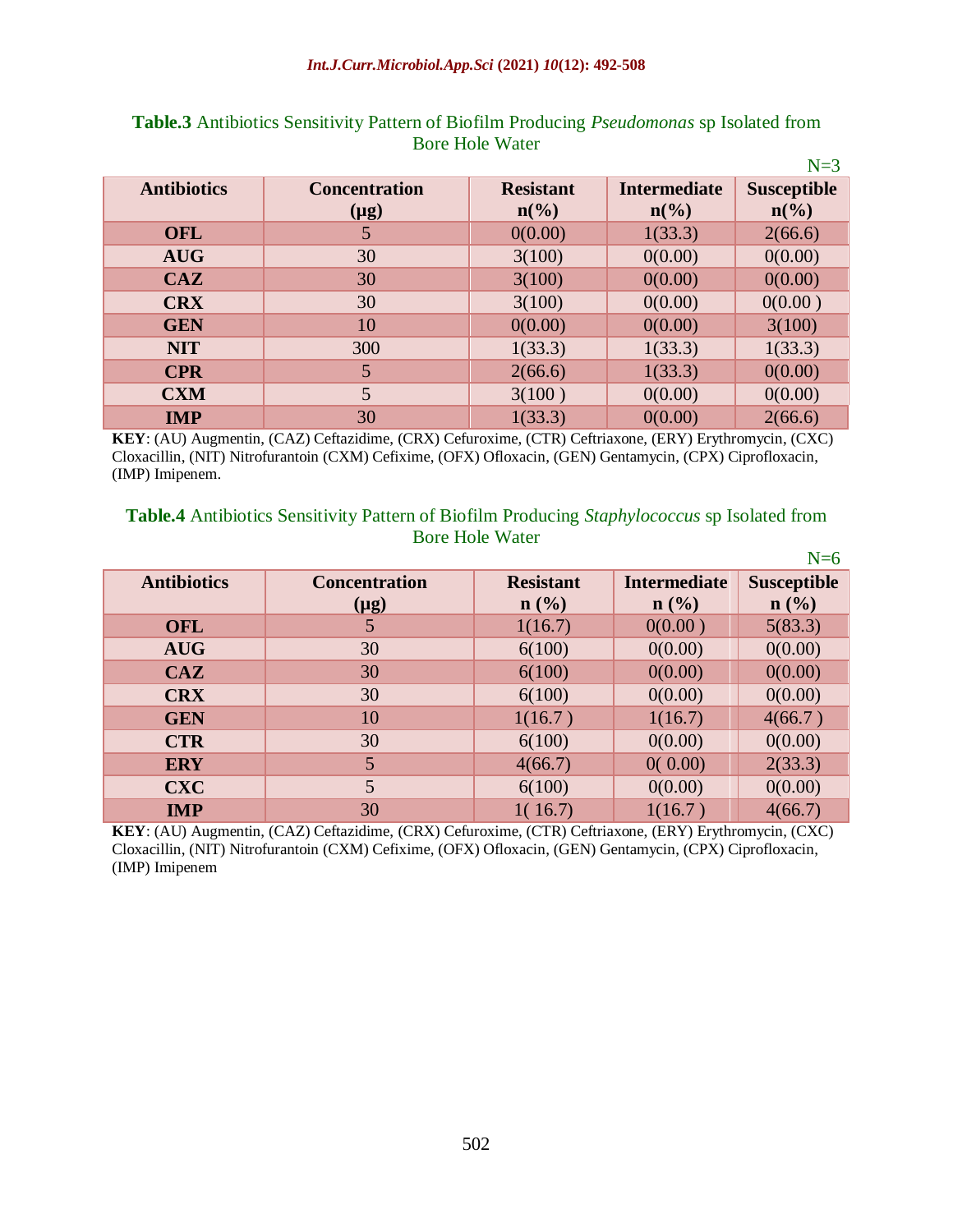|                    |                      |                             |                             | $N=3$                       |
|--------------------|----------------------|-----------------------------|-----------------------------|-----------------------------|
| <b>Antibiotics</b> | <b>Concentration</b> | <b>Resistant</b>            | <b>Intermediate</b>         | <b>Susceptible</b>          |
|                    | $(\mu g)$            | $n\left(\frac{6}{6}\right)$ | $n\left(\frac{0}{0}\right)$ | $n\left(\frac{0}{0}\right)$ |
| <b>OFL</b>         | 5                    | 0(0.00)                     | 1(33.3)                     | 2(66.6)                     |
| <b>AUG</b>         | 30                   | 3(100)                      | 0(0.00)                     | 0(0.00)                     |
| CAZ                | 30                   | 3(100)                      | 0(0.00)                     | 0(0.00)                     |
| <b>CRX</b>         | 30                   | 3(100)                      | 0(0.00)                     | 0(0.00)                     |
| <b>GEN</b>         | 10                   | 0(0.00)                     | 0(0.00)                     | 3(100)                      |
| <b>NIT</b>         | 300                  | 1(33.3)                     | 1(33.3)                     | 1(33.3)                     |
| <b>CPR</b>         | 5                    | 2(66.6)                     | 1(33.3)                     | 0(0.00)                     |
| <b>CXM</b>         | 5                    | 3(100)                      | 0(0.00)                     | 0(0.00)                     |
| <b>IMP</b>         | 30                   | 1(33.3)                     | 0(0.00)                     | 2(66.6)                     |

## **Table.3** Antibiotics Sensitivity Pattern of Biofilm Producing *Pseudomonas* sp Isolated from Bore Hole Water

**KEY**: (AU) Augmentin, (CAZ) Ceftazidime, (CRX) Cefuroxime, (CTR) Ceftriaxone, (ERY) Erythromycin, (CXC) Cloxacillin, (NIT) Nitrofurantoin (CXM) Cefixime, (OFX) Ofloxacin, (GEN) Gentamycin, (CPX) Ciprofloxacin, (IMP) Imipenem.

#### **Table.4** Antibiotics Sensitivity Pattern of Biofilm Producing *Staphylococcus* sp Isolated from Bore Hole Water  $N-\epsilon$

|                    |                      |                  |                     | $N=0$              |
|--------------------|----------------------|------------------|---------------------|--------------------|
| <b>Antibiotics</b> | <b>Concentration</b> | <b>Resistant</b> | <b>Intermediate</b> | <b>Susceptible</b> |
|                    | $(\mu g)$            | $n$ (%)          | $n$ (%)             | n(%)               |
| <b>OFL</b>         | 5                    | 1(16.7)          | 0(0.00)             | 5(83.3)            |
| <b>AUG</b>         | 30                   | 6(100)           | 0(0.00)             | 0(0.00)            |
| CAZ                | 30                   | 6(100)           | 0(0.00)             | 0(0.00)            |
| <b>CRX</b>         | 30                   | 6(100)           | 0(0.00)             | 0(0.00)            |
| <b>GEN</b>         | 10                   | 1(16.7)          | 1(16.7)             | 4(66.7)            |
| <b>CTR</b>         | 30                   | 6(100)           | 0(0.00)             | 0(0.00)            |
| <b>ERY</b>         | 5                    | 4(66.7)          | 0(0.00)             | 2(33.3)            |
| <b>CXC</b>         | 5                    | 6(100)           | 0(0.00)             | 0(0.00)            |
| <b>IMP</b>         | 30                   | 1(16.7)          | 1(16.7)             | 4(66.7)            |

**KEY**: (AU) Augmentin, (CAZ) Ceftazidime, (CRX) Cefuroxime, (CTR) Ceftriaxone, (ERY) Erythromycin, (CXC) Cloxacillin, (NIT) Nitrofurantoin (CXM) Cefixime, (OFX) Ofloxacin, (GEN) Gentamycin, (CPX) Ciprofloxacin, (IMP) Imipenem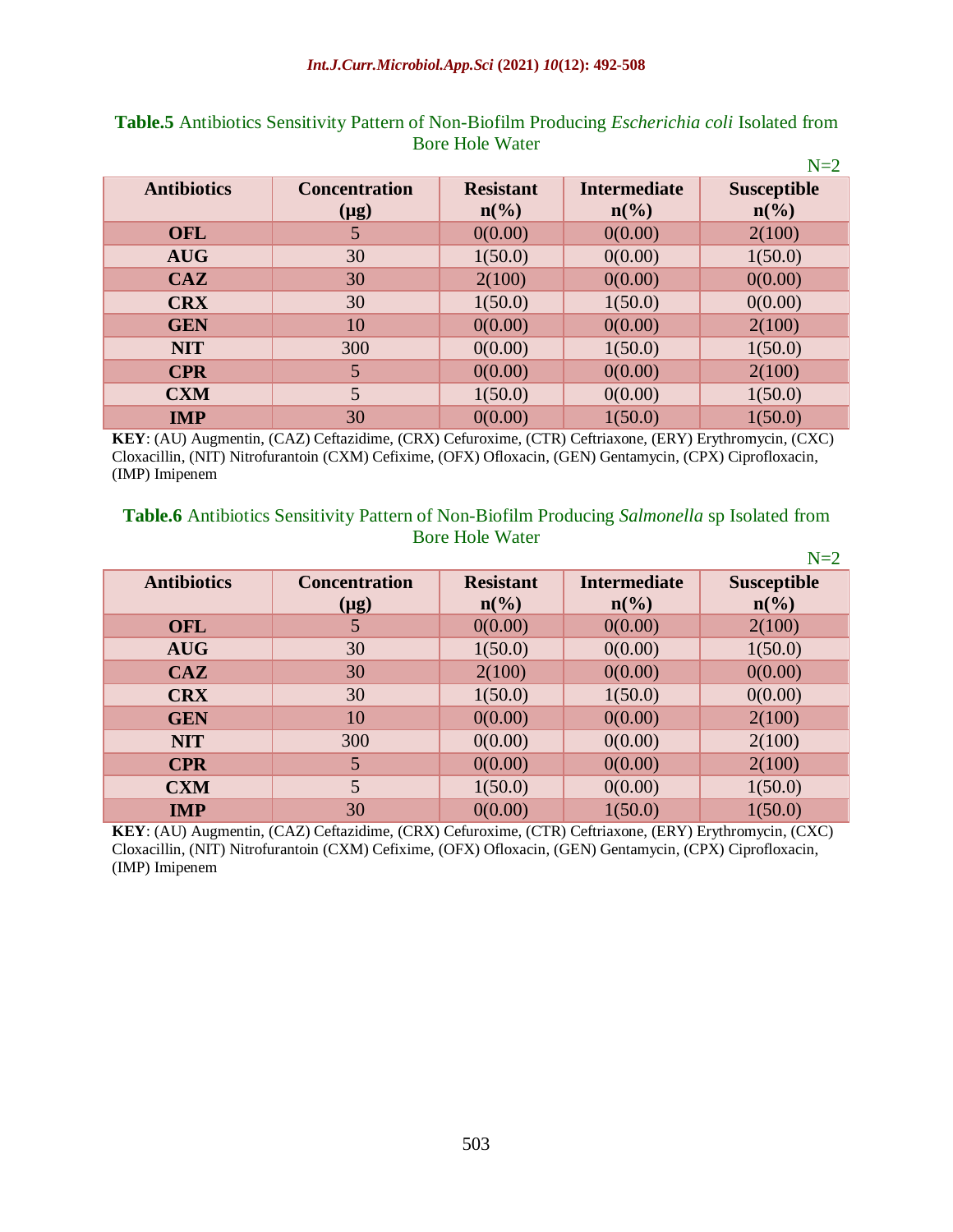|                    |                      |                             |                             | $N=2$                       |
|--------------------|----------------------|-----------------------------|-----------------------------|-----------------------------|
| <b>Antibiotics</b> | <b>Concentration</b> | <b>Resistant</b>            | <b>Intermediate</b>         | <b>Susceptible</b>          |
|                    | $(\mu g)$            | $n\left(\frac{0}{0}\right)$ | $n\left(\frac{0}{0}\right)$ | $n\left(\frac{0}{0}\right)$ |
| <b>OFL</b>         |                      | 0(0.00)                     | 0(0.00)                     | 2(100)                      |
| <b>AUG</b>         | 30                   | 1(50.0)                     | 0(0.00)                     | 1(50.0)                     |
| CAZ                | 30                   | 2(100)                      | 0(0.00)                     | 0(0.00)                     |
| <b>CRX</b>         | 30                   | 1(50.0)                     | 1(50.0)                     | 0(0.00)                     |
| <b>GEN</b>         | 10                   | 0(0.00)                     | 0(0.00)                     | 2(100)                      |
| <b>NIT</b>         | 300                  | 0(0.00)                     | 1(50.0)                     | 1(50.0)                     |
| <b>CPR</b>         | 5                    | 0(0.00)                     | 0(0.00)                     | 2(100)                      |
| <b>CXM</b>         | 5                    | 1(50.0)                     | 0(0.00)                     | 1(50.0)                     |
| <b>IMP</b>         | 30                   | 0(0.00)                     | 1(50.0)                     | 1(50.0)                     |

# **Table.5** Antibiotics Sensitivity Pattern of Non-Biofilm Producing *Escherichia coli* Isolated from Bore Hole Water

**KEY**: (AU) Augmentin, (CAZ) Ceftazidime, (CRX) Cefuroxime, (CTR) Ceftriaxone, (ERY) Erythromycin, (CXC) Cloxacillin, (NIT) Nitrofurantoin (CXM) Cefixime, (OFX) Ofloxacin, (GEN) Gentamycin, (CPX) Ciprofloxacin, (IMP) Imipenem

### **Table.6** Antibiotics Sensitivity Pattern of Non-Biofilm Producing *Salmonella* sp Isolated from Bore Hole Water

|                    |                      |                             |                             | $N=2$                       |
|--------------------|----------------------|-----------------------------|-----------------------------|-----------------------------|
| <b>Antibiotics</b> | <b>Concentration</b> | <b>Resistant</b>            | <b>Intermediate</b>         | <b>Susceptible</b>          |
|                    | $(\mu g)$            | $n\left(\frac{6}{6}\right)$ | $n\left(\frac{0}{0}\right)$ | $n\left(\frac{6}{6}\right)$ |
| <b>OFL</b>         |                      | 0(0.00)                     | 0(0.00)                     | 2(100)                      |
| <b>AUG</b>         | 30                   | 1(50.0)                     | 0(0.00)                     | 1(50.0)                     |
| CAZ                | 30                   | 2(100)                      | 0(0.00)                     | 0(0.00)                     |
| <b>CRX</b>         | 30                   | 1(50.0)                     | 1(50.0)                     | 0(0.00)                     |
| <b>GEN</b>         | 10                   | 0(0.00)                     | 0(0.00)                     | 2(100)                      |
| <b>NIT</b>         | 300                  | 0(0.00)                     | 0(0.00)                     | 2(100)                      |
| <b>CPR</b>         | 5                    | 0(0.00)                     | 0(0.00)                     | 2(100)                      |
| <b>CXM</b>         | 5                    | 1(50.0)                     | 0(0.00)                     | 1(50.0)                     |
| <b>IMP</b>         | 30                   | 0(0.00)                     | 1(50.0)                     | 1(50.0)                     |

**KEY**: (AU) Augmentin, (CAZ) Ceftazidime, (CRX) Cefuroxime, (CTR) Ceftriaxone, (ERY) Erythromycin, (CXC) Cloxacillin, (NIT) Nitrofurantoin (CXM) Cefixime, (OFX) Ofloxacin, (GEN) Gentamycin, (CPX) Ciprofloxacin, (IMP) Imipenem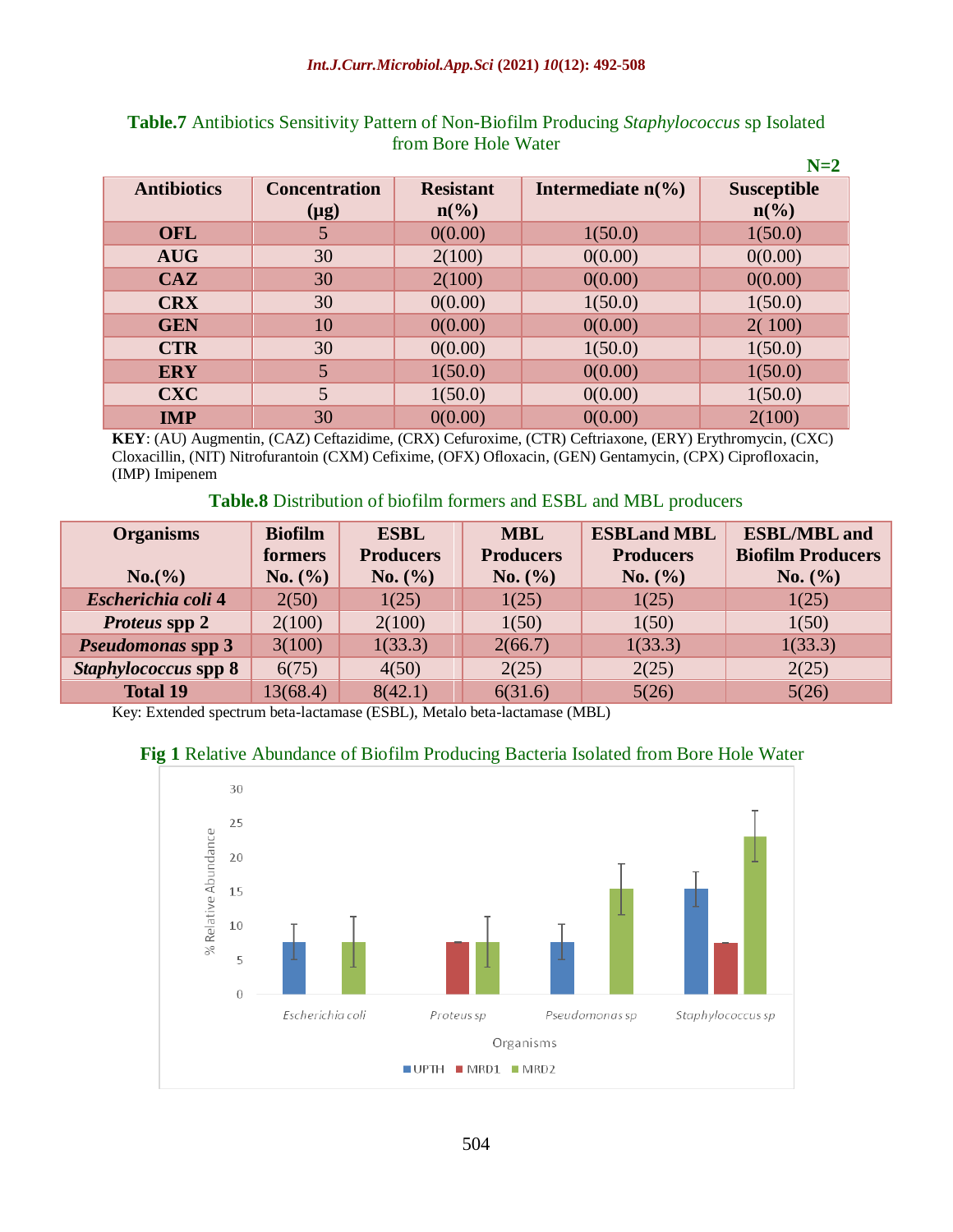|                    |                      |                             |                             | $N=2$              |
|--------------------|----------------------|-----------------------------|-----------------------------|--------------------|
| <b>Antibiotics</b> | <b>Concentration</b> | <b>Resistant</b>            | Intermediate $n\frac{6}{6}$ | <b>Susceptible</b> |
|                    | $(\mu g)$            | $n\left(\frac{6}{6}\right)$ |                             | $n\binom{0}{0}$    |
| <b>OFL</b>         | 5                    | 0(0.00)                     | 1(50.0)                     | 1(50.0)            |
| <b>AUG</b>         | 30                   | 2(100)                      | 0(0.00)                     | 0(0.00)            |
| CAZ                | 30                   | 2(100)                      | 0(0.00)                     | 0(0.00)            |
| <b>CRX</b>         | 30                   | 0(0.00)                     | 1(50.0)                     | 1(50.0)            |
| <b>GEN</b>         | 10                   | 0(0.00)                     | 0(0.00)                     | 2(100)             |
| <b>CTR</b>         | 30                   | 0(0.00)                     | 1(50.0)                     | 1(50.0)            |
| <b>ERY</b>         | 5                    | 1(50.0)                     | 0(0.00)                     | 1(50.0)            |
| <b>CXC</b>         | 5                    | 1(50.0)                     | 0(0.00)                     | 1(50.0)            |
| <b>IMP</b>         | 30                   | 0(0.00)                     | 0(0.00)                     | 2(100)             |

# **Table.7** Antibiotics Sensitivity Pattern of Non-Biofilm Producing *Staphylococcus* sp Isolated from Bore Hole Water

**KEY**: (AU) Augmentin, (CAZ) Ceftazidime, (CRX) Cefuroxime, (CTR) Ceftriaxone, (ERY) Erythromycin, (CXC) Cloxacillin, (NIT) Nitrofurantoin (CXM) Cefixime, (OFX) Ofloxacin, (GEN) Gentamycin, (CPX) Ciprofloxacin, (IMP) Imipenem

#### **Table.8** Distribution of biofilm formers and ESBL and MBL producers

| <b>Organisms</b>         | <b>Biofilm</b> | <b>ESBL</b>      | <b>MBL</b>       | <b>ESBLand MBL</b> | <b>ESBL/MBL</b> and      |
|--------------------------|----------------|------------------|------------------|--------------------|--------------------------|
|                          | formers        | <b>Producers</b> | <b>Producers</b> | <b>Producers</b>   | <b>Biofilm Producers</b> |
| No. (%)                  | No. (%)        | No. (%)          | No. (%)          | No. (%)            | No. (%)                  |
| Escherichia coli 4       | 2(50)          | 1(25)            | 1(25)            | 1(25)              | 1(25)                    |
| <i>Proteus</i> spp 2     | 2(100)         | 2(100)           | 1(50)            | 1(50)              | 1(50)                    |
| <b>Pseudomonas spp 3</b> | 3(100)         | 1(33.3)          | 2(66.7)          | 1(33.3)            | 1(33.3)                  |
| Staphylococcus spp 8     | 6(75)          | 4(50)            | 2(25)            | 2(25)              | 2(25)                    |
| <b>Total 19</b>          | 13(68.4)       | 8(42.1)          | 6(31.6)          | 5(26)              | 5(26)                    |

Key: Extended spectrum beta-lactamase (ESBL), Metalo beta-lactamase (MBL)

# **Fig 1** Relative Abundance of Biofilm Producing Bacteria Isolated from Bore Hole Water

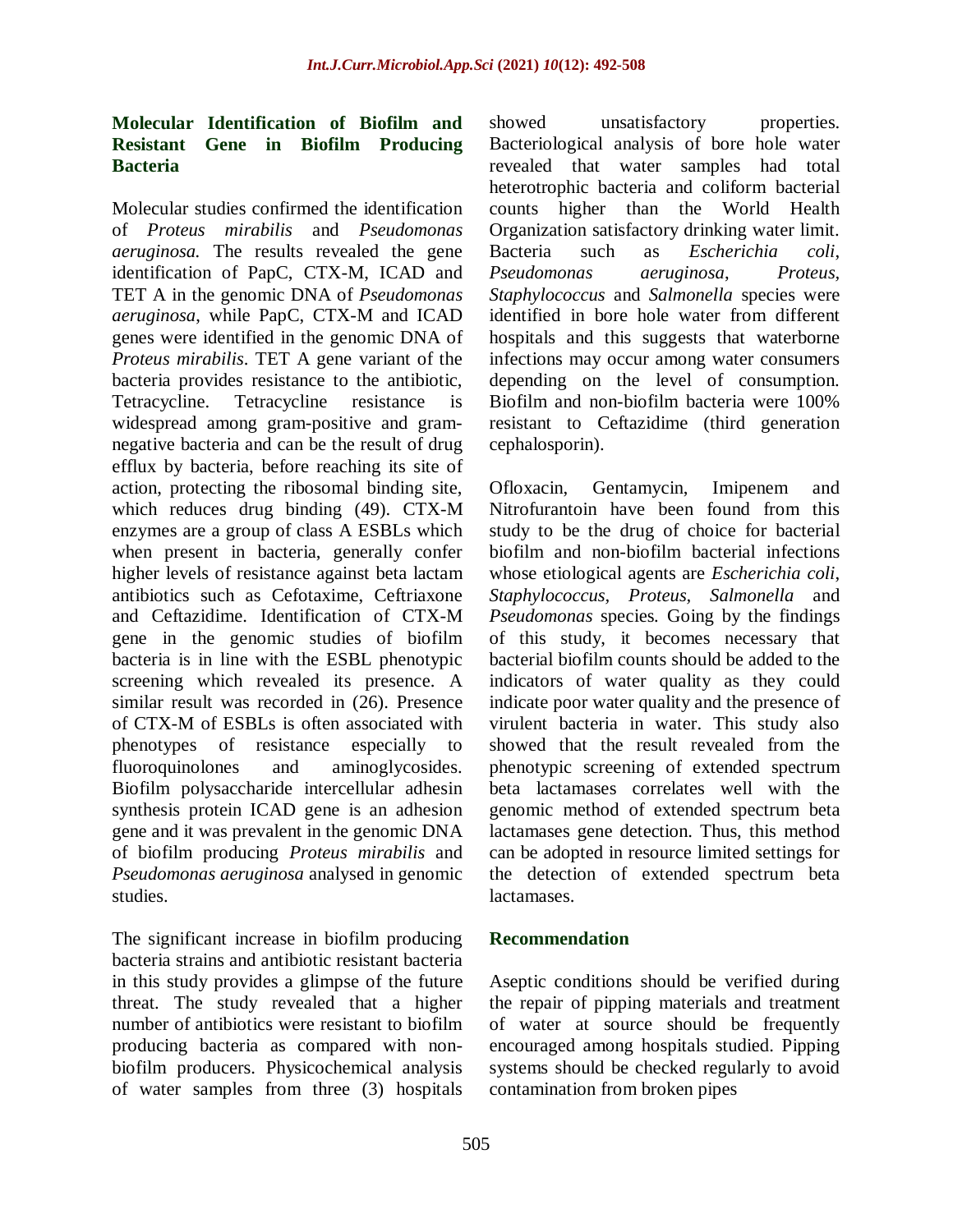# **Molecular Identification of Biofilm and Resistant Gene in Biofilm Producing Bacteria**

Molecular studies confirmed the identification of *Proteus mirabilis* and *Pseudomonas aeruginosa.* The results revealed the gene identification of PapC, CTX-M, ICAD and TET A in the genomic DNA of *Pseudomonas aeruginosa*, while PapC, CTX-M and ICAD genes were identified in the genomic DNA of *Proteus mirabilis*. TET A gene variant of the bacteria provides resistance to the antibiotic, Tetracycline. Tetracycline resistance is widespread among gram-positive and gramnegative bacteria and can be the result of drug efflux by bacteria, before reaching its site of action, protecting the ribosomal binding site, which reduces drug binding (49). CTX-M enzymes are a group of class A ESBLs which when present in bacteria, generally confer higher levels of resistance against beta lactam antibiotics such as Cefotaxime, Ceftriaxone and Ceftazidime. Identification of CTX-M gene in the genomic studies of biofilm bacteria is in line with the ESBL phenotypic screening which revealed its presence. A similar result was recorded in (26). Presence of CTX-M of ESBLs is often associated with phenotypes of resistance especially to fluoroquinolones and aminoglycosides. Biofilm polysaccharide intercellular adhesin synthesis protein ICAD gene is an adhesion gene and it was prevalent in the genomic DNA of biofilm producing *Proteus mirabilis* and *Pseudomonas aeruginosa* analysed in genomic studies.

The significant increase in biofilm producing bacteria strains and antibiotic resistant bacteria in this study provides a glimpse of the future threat. The study revealed that a higher number of antibiotics were resistant to biofilm producing bacteria as compared with nonbiofilm producers. Physicochemical analysis of water samples from three (3) hospitals

showed unsatisfactory properties. Bacteriological analysis of bore hole water revealed that water samples had total heterotrophic bacteria and coliform bacterial counts higher than the World Health Organization satisfactory drinking water limit. Bacteria such as *Escherichia coli*, *Pseudomonas aeruginosa*, *Proteus, Staphylococcus* and *Salmonella* species were identified in bore hole water from different hospitals and this suggests that waterborne infections may occur among water consumers depending on the level of consumption. Biofilm and non-biofilm bacteria were 100% resistant to Ceftazidime (third generation cephalosporin).

Ofloxacin, Gentamycin, Imipenem and Nitrofurantoin have been found from this study to be the drug of choice for bacterial biofilm and non-biofilm bacterial infections whose etiological agents are *Escherichia coli*, *Staphylococcus, Proteus, Salmonella* and *Pseudomonas* species*.* Going by the findings of this study, it becomes necessary that bacterial biofilm counts should be added to the indicators of water quality as they could indicate poor water quality and the presence of virulent bacteria in water. This study also showed that the result revealed from the phenotypic screening of extended spectrum beta lactamases correlates well with the genomic method of extended spectrum beta lactamases gene detection. Thus, this method can be adopted in resource limited settings for the detection of extended spectrum beta lactamases.

# **Recommendation**

Aseptic conditions should be verified during the repair of pipping materials and treatment of water at source should be frequently encouraged among hospitals studied. Pipping systems should be checked regularly to avoid contamination from broken pipes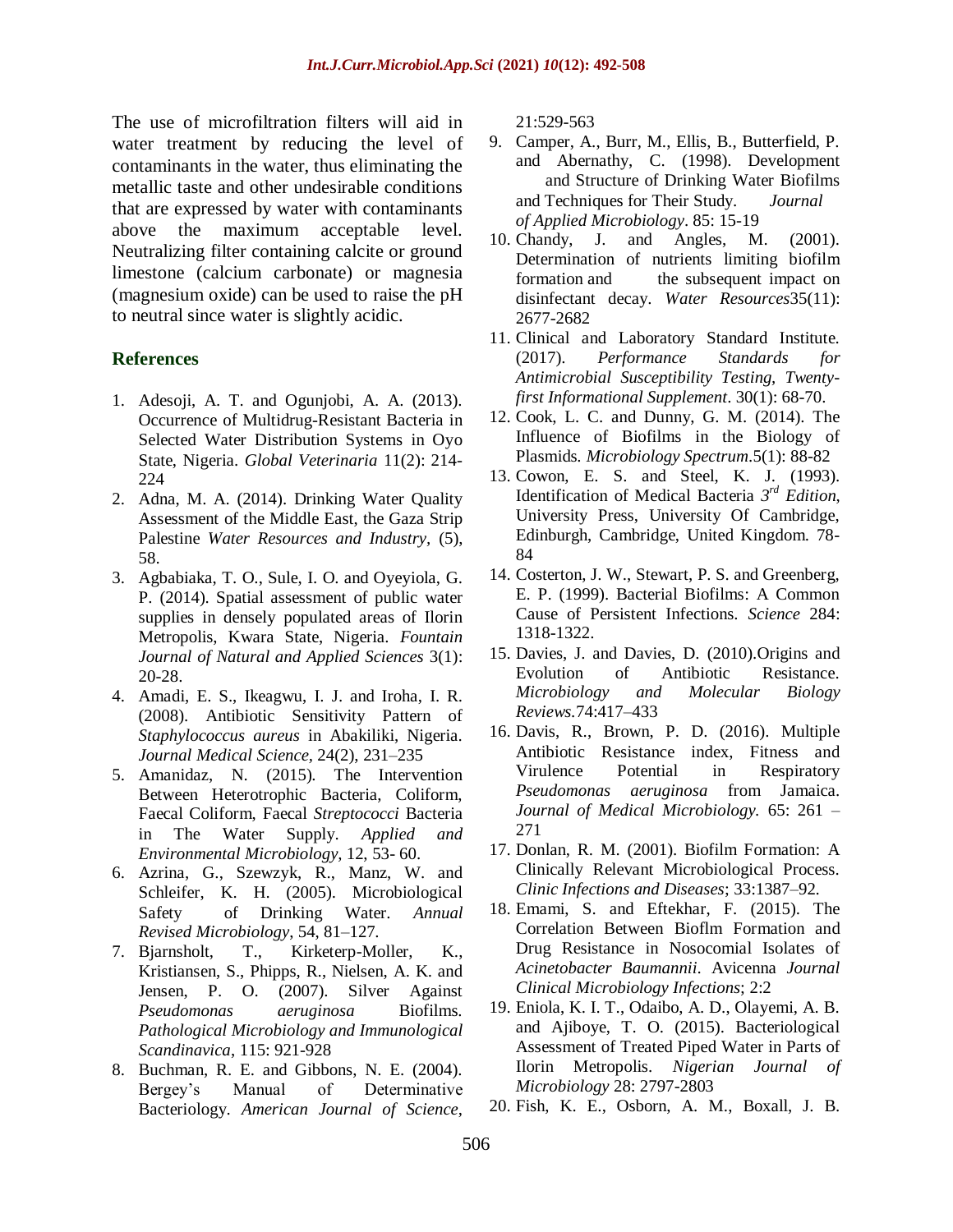The use of microfiltration filters will aid in water treatment by reducing the level of contaminants in the water, thus eliminating the metallic taste and other undesirable conditions that are expressed by water with contaminants above the maximum acceptable level. Neutralizing filter containing calcite or ground limestone (calcium carbonate) or magnesia (magnesium oxide) can be used to raise the pH to neutral since water is slightly acidic.

#### **References**

- 1. Adesoji, A. T. and Ogunjobi, A. A. (2013). Occurrence of Multidrug-Resistant Bacteria in Selected Water Distribution Systems in Oyo State, Nigeria. *Global Veterinaria* 11(2): 214- 224
- 2. Adna, M. A. (2014). Drinking Water Quality Assessment of the Middle East, the Gaza Strip Palestine *Water Resources and Industry,* (5), 58.
- 3. Agbabiaka, T. O., Sule, I. O. and Oyeyiola, G. P. (2014). Spatial assessment of public water supplies in densely populated areas of Ilorin Metropolis, Kwara State, Nigeria. *Fountain Journal of Natural and Applied Sciences* 3(1): 20-28.
- 4. Amadi, E. S., Ikeagwu, I. J. and Iroha, I. R. (2008). Antibiotic Sensitivity Pattern of *Staphylococcus aureus* in Abakiliki, Nigeria. *Journal Medical Science,* 24(2), 231–235
- 5. Amanidaz, N. (2015). The Intervention Between Heterotrophic Bacteria, Coliform, Faecal Coliform, Faecal *Streptococci* Bacteria in The Water Supply. *Applied and Environmental Microbiology,* 12, 53- 60.
- 6. Azrina, G., Szewzyk, R., Manz, W. and Schleifer, K. H. (2005). Microbiological Safety of Drinking Water. *Annual Revised Microbiology*, 54, 81–127.
- 7. Bjarnsholt, T., Kirketerp-Moller, K., Kristiansen, S., Phipps, R., Nielsen, A. K. and Jensen, P. O. (2007). Silver Against *Pseudomonas aeruginosa* Biofilms*. Pathological Microbiology and Immunological Scandinavica*, 115: 921-928
- 8. Buchman, R. E. and Gibbons, N. E. (2004). Bergey's Manual of Determinative Bacteriology*. American Journal of Science*,

21:529-563

- 9. Camper, A., Burr, M., Ellis, B., Butterfield, P. and Abernathy, C. (1998). Development and Structure of Drinking Water Biofilms and Techniques for Their Study. *Journal of Applied Microbiology*. 85: 15-19
- 10. Chandy, J. and Angles, M. (2001). Determination of nutrients limiting biofilm formation and the subsequent impact on disinfectant decay. *Water Resources*35(11): 2677-2682
- 11. Clinical and Laboratory Standard Institute. (2017). *Performance Standards for Antimicrobial Susceptibility Testing, Twentyfirst Informational Supplement*. 30(1): 68-70.
- 12. Cook, L. C. and Dunny, G. M. (2014). The Influence of Biofilms in the Biology of Plasmids*. Microbiology Spectrum*.5(1): 88-82
- 13. Cowon, E. S. and Steel, K. J. (1993). Identification of Medical Bacteria *3 rd Edition*, University Press, University Of Cambridge, Edinburgh, Cambridge, United Kingdom. 78- 84
- 14. Costerton, J. W., Stewart, P. S. and Greenberg, E. P. (1999). Bacterial Biofilms: A Common Cause of Persistent Infections*. Science* 284: 1318-1322.
- 15. Davies, J. and Davies, D. (2010).Origins and Evolution of Antibiotic Resistance*. Microbiology and Molecular Biology Reviews.*74:417–433
- 16. Davis, R., Brown, P. D. (2016). Multiple Antibiotic Resistance index, Fitness and Virulence Potential in Respiratory *Pseudomonas aeruginosa* from Jamaica. *Journal of Medical Microbiology.* 65: 261 – 271
- 17. Donlan, R. M. (2001). Biofilm Formation: A Clinically Relevant Microbiological Process. *Clinic Infections and Diseases*; 33:1387–92.
- 18. Emami, S. and Eftekhar, F. (2015). The Correlation Between Bioflm Formation and Drug Resistance in Nosocomial Isolates of *Acinetobacter Baumannii*. Avicenna *Journal Clinical Microbiology Infections*; 2:2
- 19. Eniola, K. I. T., Odaibo, A. D., Olayemi, A. B. and Ajiboye, T. O. (2015). Bacteriological Assessment of Treated Piped Water in Parts of Ilorin Metropolis. *Nigerian Journal of Microbiology* 28: 2797-2803
- 20. Fish, K. E., Osborn, A. M., Boxall, J. B.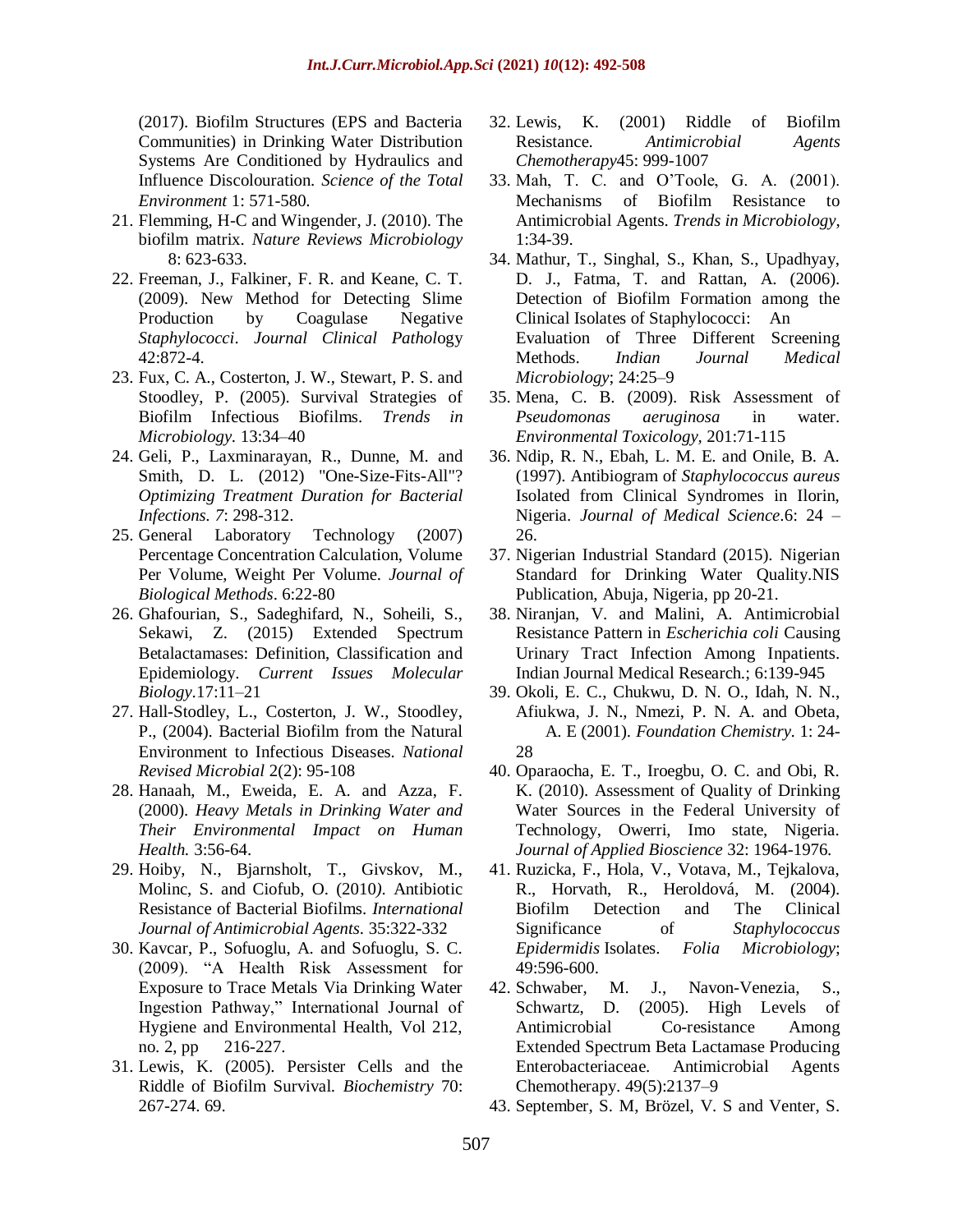(2017). Biofilm Structures (EPS and Bacteria Communities) in Drinking Water Distribution Systems Are Conditioned by Hydraulics and Influence Discolouration. *Science of the Total Environment* 1: 571-580.

- 21. Flemming, H-C and Wingender, J. (2010). The biofilm matrix. *Nature Reviews Microbiology* 8: 623-633.
- 22. Freeman, J., Falkiner, F. R. and Keane, C. T. (2009). New Method for Detecting Slime Production by Coagulase Negative *Staphylococci*. *Journal Clinical Pathol*ogy 42:872-4.
- 23. Fux, C. A., Costerton, J. W., Stewart, P. S. and Stoodley, P. (2005). Survival Strategies of Biofilm Infectious Biofilms. *Trends in Microbiology.* 13:34–40
- 24. Geli, P., Laxminarayan, R., Dunne, M. and Smith, D. L. (2012) "One-Size-Fits-All"? *Optimizing Treatment Duration for Bacterial Infections. 7*: 298-312.
- 25. General Laboratory Technology (2007) Percentage Concentration Calculation, Volume Per Volume, Weight Per Volume. *Journal of Biological Methods*. 6:22-80
- 26. Ghafourian, S., Sadeghifard, N., Soheili, S., Sekawi, Z. (2015) Extended Spectrum Betalactamases: Definition, Classification and Epidemiology. *Current Issues Molecular Biology*.17:11–21
- 27. Hall-Stodley, L., Costerton, J. W., Stoodley, P., (2004). Bacterial Biofilm from the Natural Environment to Infectious Diseases*. National Revised Microbial* 2(2): 95-108
- 28. Hanaah, M., Eweida, E. A. and Azza, F. (2000). *Heavy Metals in Drinking Water and Their Environmental Impact on Human Health.* 3:56-64.
- 29. Hoiby, N., Bjarnsholt, T., Givskov, M., Molinc, S. and Ciofub, O. (2010*).* Antibiotic Resistance of Bacterial Biofilms. *International Journal of Antimicrobial Agents*. 35:322-332
- 30. Kavcar, P., Sofuoglu, A. and Sofuoglu, S. C. (2009). "A Health Risk Assessment for Exposure to Trace Metals Via Drinking Water Ingestion Pathway," International Journal of Hygiene and Environmental Health, Vol 212, no. 2, pp 216-227.
- 31. Lewis, K. (2005). Persister Cells and the Riddle of Biofilm Survival. *Biochemistry* 70: 267-274. 69.
- 32. Lewis, K. (2001) Riddle of Biofilm Resistance. *Antimicrobial Agents Chemotherapy*45: 999-1007
- 33. Mah, T. C. and O'Toole, G. A. (2001). Mechanisms of Biofilm Resistance to Antimicrobial Agents. *Trends in Microbiology*, 1:34-39.
- 34. Mathur, T., Singhal, S., Khan, S., Upadhyay, D. J., Fatma, T. and Rattan, A. (2006). Detection of Biofilm Formation among the Clinical Isolates of Staphylococci: An Evaluation of Three Different Screening Methods. *Indian Journal Medical Microbiology*; 24:25–9
- 35. Mena, C. B. (2009). Risk Assessment of *Pseudomonas aeruginosa* in water. *Environmental Toxicology,* 201:71-115
- 36. Ndip, R. N., Ebah, L. M. E. and Onile, B. A. (1997). Antibiogram of *Staphylococcus aureus*  Isolated from Clinical Syndromes in Ilorin, Nigeria. *Journal of Medical Science*.6: 24 – 26.
- 37. Nigerian Industrial Standard (2015). Nigerian Standard for Drinking Water Quality.NIS Publication, Abuja, Nigeria, pp 20-21.
- 38. Niranjan, V. and Malini, A. Antimicrobial Resistance Pattern in *Escherichia coli* Causing Urinary Tract Infection Among Inpatients. Indian Journal Medical Research.; 6:139-945
- 39. Okoli, E. C., Chukwu, D. N. O., Idah, N. N., Afiukwa, J. N., Nmezi, P. N. A. and Obeta, A. E (2001). *Foundation Chemistry*. 1: 24- 28
- 40. Oparaocha, E. T., Iroegbu, O. C. and Obi, R. K. (2010). Assessment of Quality of Drinking Water Sources in the Federal University of Technology, Owerri, Imo state, Nigeria. *Journal of Applied Bioscience* 32: 1964-1976.
- 41. Ruzicka, F., Hola, V., Votava, M., Tejkalova, R., Horvath, R., Heroldová, M. (2004). Biofilm Detection and The Clinical Significance of *Staphylococcus Epidermidis* Isolates. *Folia Microbiology*; 49:596-600.
- 42. Schwaber, M. J., Navon-Venezia, S., Schwartz, D. (2005). High Levels of Antimicrobial Co-resistance Among Extended Spectrum Beta Lactamase Producing Enterobacteriaceae. Antimicrobial Agents Chemotherapy. 49(5):2137–9
- 43. September, S. M, Brözel, V. S and Venter, S.